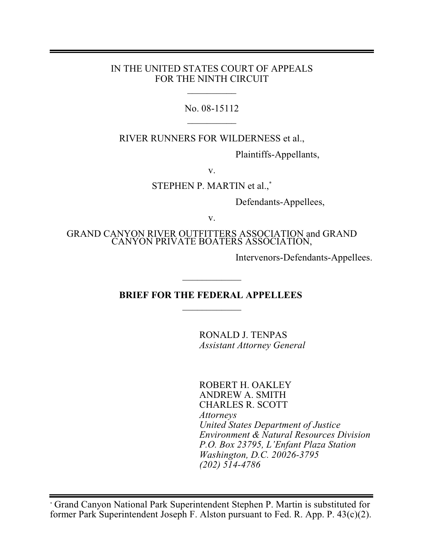#### IN THE UNITED STATES COURT OF APPEALS FOR THE NINTH CIRCUIT

 $\frac{1}{2}$ 

No. 08-15112  $\frac{1}{2}$ 

RIVER RUNNERS FOR WILDERNESS et al.,

Plaintiffs-Appellants,

v.

STEPHEN P. MARTIN et al.,\*

Defendants-Appellees,

v.

GRAND CANYON RIVER OUTFITTERS ASSOCIATION and GRAND CANYON PRIVATE BOATERS ASSOCIATION,

Intervenors-Defendants-Appellees.

### **BRIEF FOR THE FEDERAL APPELLEES**   $\overline{\phantom{a}}$  , where  $\overline{\phantom{a}}$

 $\overline{\phantom{a}}$  , where  $\overline{\phantom{a}}$ 

RONALD J. TENPAS *Assistant Attorney General*

ROBERT H. OAKLEY ANDREW A. SMITH CHARLES R. SCOTT *Attorneys United States Department of Justice Environment & Natural Resources Division P.O. Box 23795, L'Enfant Plaza Station Washington, D.C. 20026-3795 (202) 514-4786*

Grand Canyon National Park Superintendent Stephen P. Martin is substituted for *\** former Park Superintendent Joseph F. Alston pursuant to Fed. R. App. P. 43(c)(2).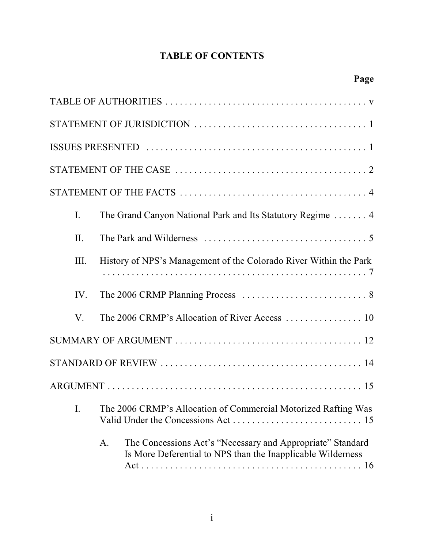# **TABLE OF CONTENTS**

| $\mathbf{I}$ . | The Grand Canyon National Park and Its Statutory Regime  4                                                                      |
|----------------|---------------------------------------------------------------------------------------------------------------------------------|
| II.            |                                                                                                                                 |
| III.           | History of NPS's Management of the Colorado River Within the Park                                                               |
| IV.            |                                                                                                                                 |
| V.             |                                                                                                                                 |
|                |                                                                                                                                 |
|                |                                                                                                                                 |
|                |                                                                                                                                 |
| I.             | The 2006 CRMP's Allocation of Commercial Motorized Rafting Was                                                                  |
|                | The Concessions Act's "Necessary and Appropriate" Standard<br>A.<br>Is More Deferential to NPS than the Inapplicable Wilderness |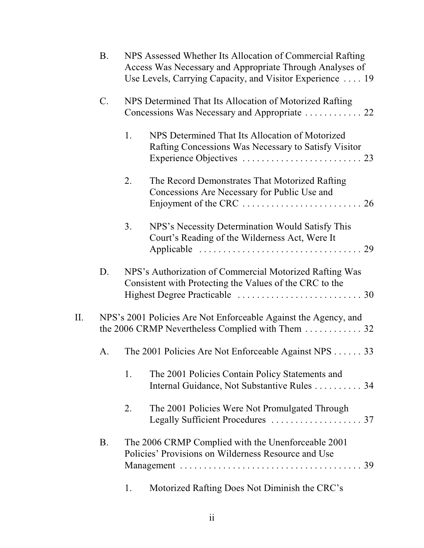|    | <b>B.</b>       |    | NPS Assessed Whether Its Allocation of Commercial Rafting<br>Access Was Necessary and Appropriate Through Analyses of<br>Use Levels, Carrying Capacity, and Visitor Experience  19 |
|----|-----------------|----|------------------------------------------------------------------------------------------------------------------------------------------------------------------------------------|
|    | $\mathcal{C}$ . |    | NPS Determined That Its Allocation of Motorized Rafting                                                                                                                            |
|    |                 | 1. | NPS Determined That Its Allocation of Motorized<br>Rafting Concessions Was Necessary to Satisfy Visitor                                                                            |
|    |                 | 2. | The Record Demonstrates That Motorized Rafting<br>Concessions Are Necessary for Public Use and                                                                                     |
|    |                 | 3. | NPS's Necessity Determination Would Satisfy This<br>Court's Reading of the Wilderness Act, Were It                                                                                 |
|    | D.              |    | NPS's Authorization of Commercial Motorized Rafting Was<br>Consistent with Protecting the Values of the CRC to the                                                                 |
| П. |                 |    | NPS's 2001 Policies Are Not Enforceable Against the Agency, and<br>the 2006 CRMP Nevertheless Complied with Them 32                                                                |
|    | А.              |    | The 2001 Policies Are Not Enforceable Against NPS 33                                                                                                                               |
|    |                 | 1. | The 2001 Policies Contain Policy Statements and<br>Internal Guidance, Not Substantive Rules 34                                                                                     |
|    |                 | 2. | The 2001 Policies Were Not Promulgated Through                                                                                                                                     |
|    | <b>B.</b>       |    | The 2006 CRMP Complied with the Unenforceable 2001<br>Policies' Provisions on Wilderness Resource and Use                                                                          |
|    |                 | 1. | Motorized Rafting Does Not Diminish the CRC's                                                                                                                                      |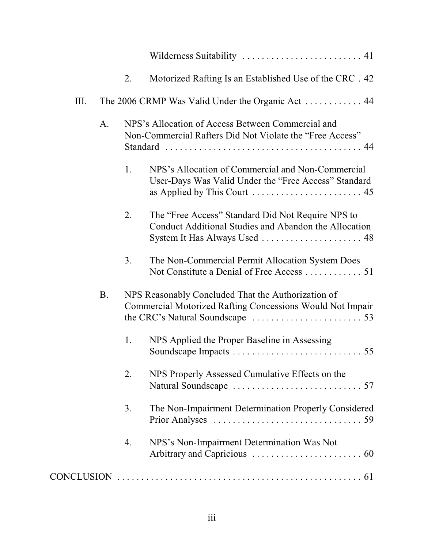|      |    | 2. | Motorized Rafting Is an Established Use of the CRC. 42                                                                 |
|------|----|----|------------------------------------------------------------------------------------------------------------------------|
| III. |    |    | The 2006 CRMP Was Valid Under the Organic Act  44                                                                      |
|      | A. |    | NPS's Allocation of Access Between Commercial and<br>Non-Commercial Rafters Did Not Violate the "Free Access"          |
|      |    | 1. | NPS's Allocation of Commercial and Non-Commercial<br>User-Days Was Valid Under the "Free Access" Standard              |
|      |    | 2. | The "Free Access" Standard Did Not Require NPS to<br>Conduct Additional Studies and Abandon the Allocation             |
|      |    | 3. | The Non-Commercial Permit Allocation System Does<br>Not Constitute a Denial of Free Access  51                         |
|      | B. |    | NPS Reasonably Concluded That the Authorization of<br><b>Commercial Motorized Rafting Concessions Would Not Impair</b> |
|      |    | 1. | NPS Applied the Proper Baseline in Assessing                                                                           |
|      |    | 2. | NPS Properly Assessed Cumulative Effects on the                                                                        |
|      |    | 3. | The Non-Impairment Determination Properly Considered                                                                   |
|      |    | 4. | NPS's Non-Impairment Determination Was Not                                                                             |
|      |    |    | $CONCLUSION \dots 61$                                                                                                  |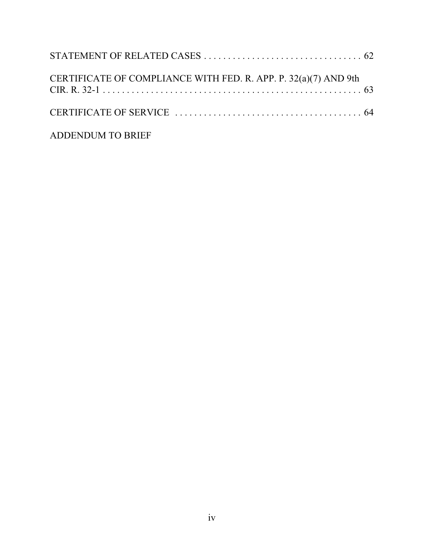| CERTIFICATE OF COMPLIANCE WITH FED. R. APP. P. 32(a)(7) AND 9th |  |
|-----------------------------------------------------------------|--|
|                                                                 |  |
| ADDENDUM TO BRIEF                                               |  |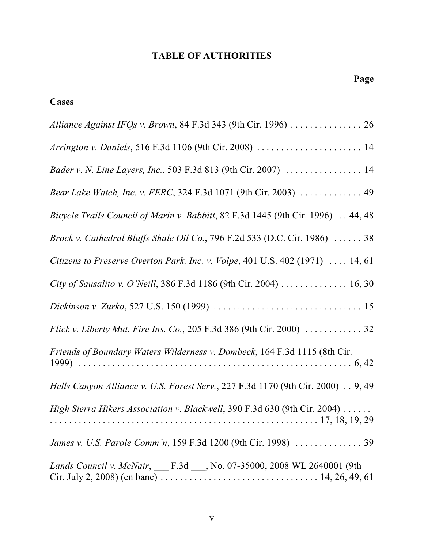# **TABLE OF AUTHORITIES**

# **Cases**

| Alliance Against IFQs v. Brown, 84 F.3d 343 (9th Cir. 1996)  26                      |
|--------------------------------------------------------------------------------------|
| Arrington v. Daniels, 516 F.3d 1106 (9th Cir. 2008)  14                              |
| Bader v. N. Line Layers, Inc., 503 F.3d 813 (9th Cir. 2007)  14                      |
| Bear Lake Watch, Inc. v. FERC, 324 F.3d 1071 (9th Cir. 2003)  49                     |
| Bicycle Trails Council of Marin v. Babbitt, 82 F.3d 1445 (9th Cir. 1996) 44, 48      |
| Brock v. Cathedral Bluffs Shale Oil Co., 796 F.2d 533 (D.C. Cir. 1986) $\ldots$ . 38 |
| Citizens to Preserve Overton Park, Inc. v. Volpe, 401 U.S. 402 (1971) $\dots$ 14, 61 |
| City of Sausalito v. O'Neill, 386 F.3d 1186 (9th Cir. 2004) 16, 30                   |
|                                                                                      |
| Flick v. Liberty Mut. Fire Ins. Co., 205 F.3d 386 (9th Cir. 2000)  32                |
| Friends of Boundary Waters Wilderness v. Dombeck, 164 F.3d 1115 (8th Cir.            |
| Hells Canyon Alliance v. U.S. Forest Serv., 227 F.3d 1170 (9th Cir. 2000) 9, 49      |
| High Sierra Hikers Association v. Blackwell, 390 F.3d 630 (9th Cir. 2004)            |
|                                                                                      |
| Lands Council v. McNair, __ F.3d __, No. 07-35000, 2008 WL 2640001 (9th              |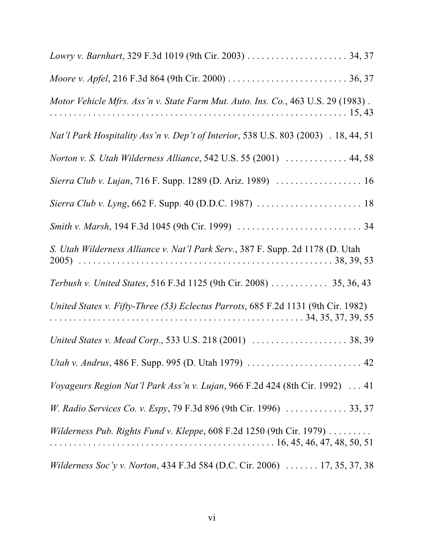| Motor Vehicle Mfrs. Ass'n v. State Farm Mut. Auto. Ins. Co., 463 U.S. 29 (1983).                |
|-------------------------------------------------------------------------------------------------|
| Nat'l Park Hospitality Ass'n v. Dep't of Interior, 538 U.S. 803 (2003) . 18, 44, 51             |
| Norton v. S. Utah Wilderness Alliance, 542 U.S. 55 (2001)  44, 58                               |
|                                                                                                 |
|                                                                                                 |
|                                                                                                 |
| S. Utah Wilderness Alliance v. Nat'l Park Serv., 387 F. Supp. 2d 1178 (D. Utah                  |
| Terbush v. United States, 516 F.3d 1125 (9th Cir. 2008) 35, 36, 43                              |
| United States v. Fifty-Three (53) Eclectus Parrots, 685 F.2d 1131 (9th Cir. 1982)               |
| United States v. Mead Corp., 533 U.S. 218 (2001)  38, 39                                        |
| Utah v. Andrus, 486 F. Supp. 995 (D. Utah 1979)  42                                             |
| Voyageurs Region Nat'l Park Ass'n v. Lujan, 966 F.2d 424 (8th Cir. 1992)  41                    |
| W. Radio Services Co. v. Espy, 79 F.3d 896 (9th Cir. 1996)  33, 37                              |
| <i>Wilderness Pub. Rights Fund v. Kleppe,</i> $608$ F.2d 1250 (9th Cir. 1979) $\dots\dots\dots$ |
| Wilderness Soc'y v. Norton, 434 F.3d 584 (D.C. Cir. 2006)  17, 35, 37, 38                       |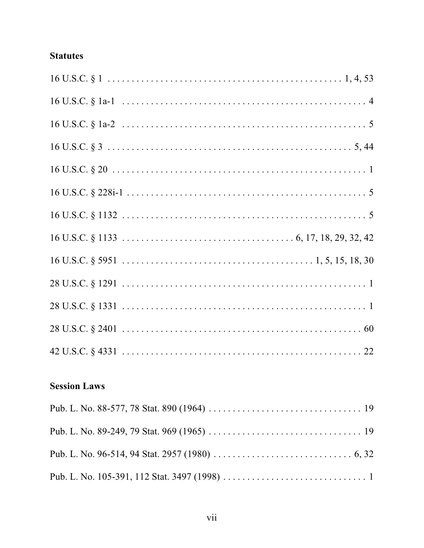# **Statutes**

# **Session Laws**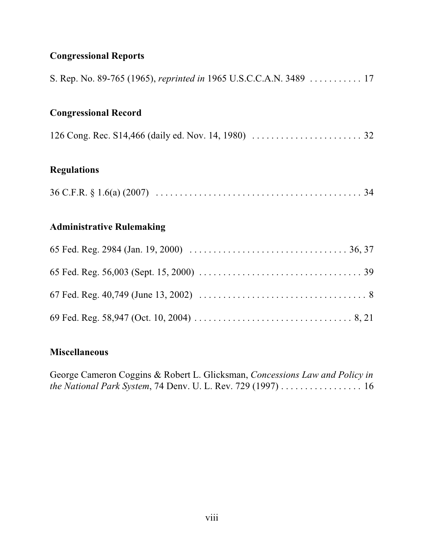# **Congressional Reports**

| S. Rep. No. 89-765 (1965), reprinted in 1965 U.S.C.C.A.N. 3489 17 |
|-------------------------------------------------------------------|
| <b>Congressional Record</b>                                       |
|                                                                   |
| <b>Regulations</b>                                                |
|                                                                   |
| <b>Administrative Rulemaking</b>                                  |
|                                                                   |
|                                                                   |
|                                                                   |
|                                                                   |

# **Miscellaneous**

George Cameron Coggins & Robert L. Glicksman, *Concessions Law and Policy in the National Park System*, 74 Denv. U. L. Rev. 729 (1997) . . . . . . . . . . . . . . . . . 16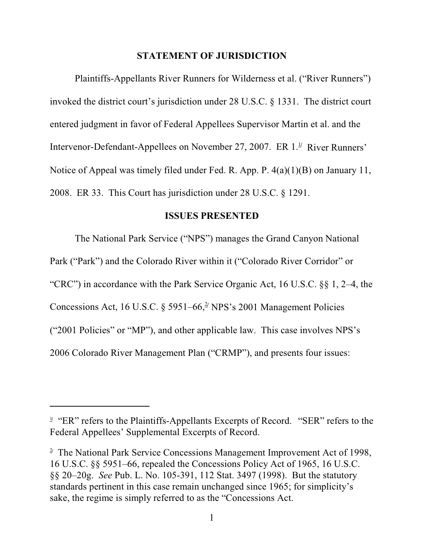#### **STATEMENT OF JURISDICTION**

Plaintiffs-Appellants River Runners for Wilderness et al. ("River Runners") invoked the district court's jurisdiction under 28 U.S.C. § 1331. The district court entered judgment in favor of Federal Appellees Supervisor Martin et al. and the Intervenor-Defendant-Appellees on November 27, 2007. ER 1.<sup>1/</sup> River Runners' Notice of Appeal was timely filed under Fed. R. App. P. 4(a)(1)(B) on January 11, 2008. ER 33. This Court has jurisdiction under 28 U.S.C. § 1291.

#### **ISSUES PRESENTED**

The National Park Service ("NPS") manages the Grand Canyon National Park ("Park") and the Colorado River within it ("Colorado River Corridor" or "CRC") in accordance with the Park Service Organic Act, 16 U.S.C. §§ 1, 2–4, the Concessions Act, 16 U.S.C.  $\S 5951-66$ <sup>2</sup>/NPS's 2001 Management Policies ("2001 Policies" or "MP"), and other applicable law. This case involves NPS's 2006 Colorado River Management Plan ("CRMP"), and presents four issues:

<sup>&</sup>lt;sup>1</sup> "ER" refers to the Plaintiffs-Appellants Excerpts of Record. "SER" refers to the Federal Appellees' Supplemental Excerpts of Record.

<sup>&</sup>lt;sup>2</sup> The National Park Service Concessions Management Improvement Act of 1998, 16 U.S.C. §§ 5951–66, repealed the Concessions Policy Act of 1965, 16 U.S.C. §§ 20–20g. *See* Pub. L. No. 105-391, 112 Stat. 3497 (1998). But the statutory standards pertinent in this case remain unchanged since 1965; for simplicity's sake, the regime is simply referred to as the "Concessions Act.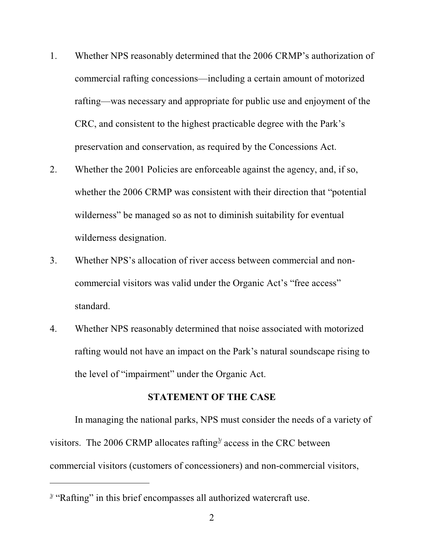- 1. Whether NPS reasonably determined that the 2006 CRMP's authorization of commercial rafting concessions—including a certain amount of motorized rafting—was necessary and appropriate for public use and enjoyment of the CRC, and consistent to the highest practicable degree with the Park's preservation and conservation, as required by the Concessions Act.
- 2. Whether the 2001 Policies are enforceable against the agency, and, if so, whether the 2006 CRMP was consistent with their direction that "potential wilderness" be managed so as not to diminish suitability for eventual wilderness designation.
- 3. Whether NPS's allocation of river access between commercial and noncommercial visitors was valid under the Organic Act's "free access" standard.
- 4. Whether NPS reasonably determined that noise associated with motorized rafting would not have an impact on the Park's natural soundscape rising to the level of "impairment" under the Organic Act.

#### **STATEMENT OF THE CASE**

In managing the national parks, NPS must consider the needs of a variety of visitors. The 2006 CRMP allocates rafting $\frac{3}{2}$  access in the CRC between commercial visitors (customers of concessioners) and non-commercial visitors,

<sup>&</sup>lt;sup>3</sup> "Rafting" in this brief encompasses all authorized watercraft use.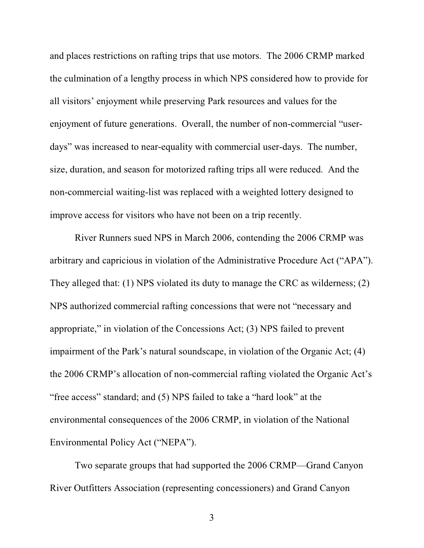and places restrictions on rafting trips that use motors. The 2006 CRMP marked the culmination of a lengthy process in which NPS considered how to provide for all visitors' enjoyment while preserving Park resources and values for the enjoyment of future generations. Overall, the number of non-commercial "userdays" was increased to near-equality with commercial user-days. The number, size, duration, and season for motorized rafting trips all were reduced. And the non-commercial waiting-list was replaced with a weighted lottery designed to improve access for visitors who have not been on a trip recently.

River Runners sued NPS in March 2006, contending the 2006 CRMP was arbitrary and capricious in violation of the Administrative Procedure Act ("APA"). They alleged that: (1) NPS violated its duty to manage the CRC as wilderness; (2) NPS authorized commercial rafting concessions that were not "necessary and appropriate," in violation of the Concessions Act; (3) NPS failed to prevent impairment of the Park's natural soundscape, in violation of the Organic Act; (4) the 2006 CRMP's allocation of non-commercial rafting violated the Organic Act's "free access" standard; and (5) NPS failed to take a "hard look" at the environmental consequences of the 2006 CRMP, in violation of the National Environmental Policy Act ("NEPA").

Two separate groups that had supported the 2006 CRMP—Grand Canyon River Outfitters Association (representing concessioners) and Grand Canyon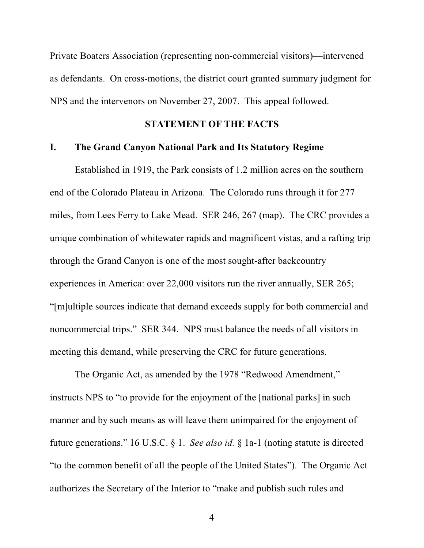Private Boaters Association (representing non-commercial visitors)—intervened as defendants. On cross-motions, the district court granted summary judgment for NPS and the intervenors on November 27, 2007. This appeal followed.

#### **STATEMENT OF THE FACTS**

#### **I. The Grand Canyon National Park and Its Statutory Regime**

Established in 1919, the Park consists of 1.2 million acres on the southern end of the Colorado Plateau in Arizona. The Colorado runs through it for 277 miles, from Lees Ferry to Lake Mead. SER 246, 267 (map). The CRC provides a unique combination of whitewater rapids and magnificent vistas, and a rafting trip through the Grand Canyon is one of the most sought-after backcountry experiences in America: over 22,000 visitors run the river annually, SER 265; "[m]ultiple sources indicate that demand exceeds supply for both commercial and noncommercial trips." SER 344. NPS must balance the needs of all visitors in meeting this demand, while preserving the CRC for future generations.

The Organic Act, as amended by the 1978 "Redwood Amendment," instructs NPS to "to provide for the enjoyment of the [national parks] in such manner and by such means as will leave them unimpaired for the enjoyment of future generations." 16 U.S.C. § 1. *See also id.* § 1a-1 (noting statute is directed "to the common benefit of all the people of the United States"). The Organic Act authorizes the Secretary of the Interior to "make and publish such rules and

<sup>4</sup>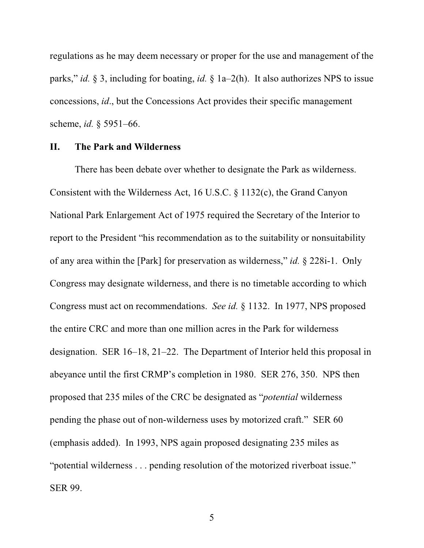regulations as he may deem necessary or proper for the use and management of the parks," *id.* § 3, including for boating, *id.* § 1a–2(h). It also authorizes NPS to issue concessions, *id*., but the Concessions Act provides their specific management scheme, *id.* § 5951–66.

#### **II. The Park and Wilderness**

There has been debate over whether to designate the Park as wilderness. Consistent with the Wilderness Act, 16 U.S.C. § 1132(c), the Grand Canyon National Park Enlargement Act of 1975 required the Secretary of the Interior to report to the President "his recommendation as to the suitability or nonsuitability of any area within the [Park] for preservation as wilderness," *id.* § 228i-1. Only Congress may designate wilderness, and there is no timetable according to which Congress must act on recommendations. *See id.* § 1132. In 1977, NPS proposed the entire CRC and more than one million acres in the Park for wilderness designation. SER 16–18, 21–22. The Department of Interior held this proposal in abeyance until the first CRMP's completion in 1980. SER 276, 350. NPS then proposed that 235 miles of the CRC be designated as "*potential* wilderness pending the phase out of non-wilderness uses by motorized craft." SER 60 (emphasis added). In 1993, NPS again proposed designating 235 miles as "potential wilderness . . . pending resolution of the motorized riverboat issue." SER 99.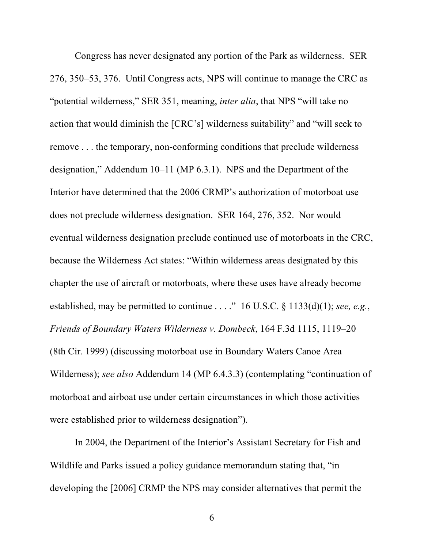Congress has never designated any portion of the Park as wilderness. SER 276, 350–53, 376. Until Congress acts, NPS will continue to manage the CRC as "potential wilderness," SER 351, meaning, *inter alia*, that NPS "will take no action that would diminish the [CRC's] wilderness suitability" and "will seek to remove . . . the temporary, non-conforming conditions that preclude wilderness designation," Addendum 10–11 (MP 6.3.1). NPS and the Department of the Interior have determined that the 2006 CRMP's authorization of motorboat use does not preclude wilderness designation. SER 164, 276, 352. Nor would eventual wilderness designation preclude continued use of motorboats in the CRC, because the Wilderness Act states: "Within wilderness areas designated by this chapter the use of aircraft or motorboats, where these uses have already become established, may be permitted to continue . . . ." 16 U.S.C. § 1133(d)(1); *see, e.g.*, *Friends of Boundary Waters Wilderness v. Dombeck*, 164 F.3d 1115, 1119–20 (8th Cir. 1999) (discussing motorboat use in Boundary Waters Canoe Area Wilderness); *see also* Addendum 14 (MP 6.4.3.3) (contemplating "continuation of motorboat and airboat use under certain circumstances in which those activities were established prior to wilderness designation").

In 2004, the Department of the Interior's Assistant Secretary for Fish and Wildlife and Parks issued a policy guidance memorandum stating that, "in developing the [2006] CRMP the NPS may consider alternatives that permit the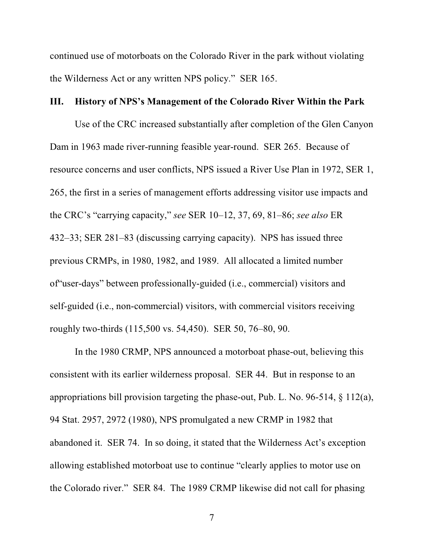continued use of motorboats on the Colorado River in the park without violating the Wilderness Act or any written NPS policy." SER 165.

#### **III. History of NPS's Management of the Colorado River Within the Park**

Use of the CRC increased substantially after completion of the Glen Canyon Dam in 1963 made river-running feasible year-round. SER 265. Because of resource concerns and user conflicts, NPS issued a River Use Plan in 1972, SER 1, 265, the first in a series of management efforts addressing visitor use impacts and the CRC's "carrying capacity," *see* SER 10–12, 37, 69, 81–86; *see also* ER 432–33; SER 281–83 (discussing carrying capacity). NPS has issued three previous CRMPs, in 1980, 1982, and 1989. All allocated a limited number of"user-days" between professionally-guided (i.e., commercial) visitors and self-guided (i.e., non-commercial) visitors, with commercial visitors receiving roughly two-thirds (115,500 vs. 54,450). SER 50, 76–80, 90.

In the 1980 CRMP, NPS announced a motorboat phase-out, believing this consistent with its earlier wilderness proposal. SER 44. But in response to an appropriations bill provision targeting the phase-out, Pub. L. No. 96-514, § 112(a), 94 Stat. 2957, 2972 (1980), NPS promulgated a new CRMP in 1982 that abandoned it. SER 74. In so doing, it stated that the Wilderness Act's exception allowing established motorboat use to continue "clearly applies to motor use on the Colorado river." SER 84. The 1989 CRMP likewise did not call for phasing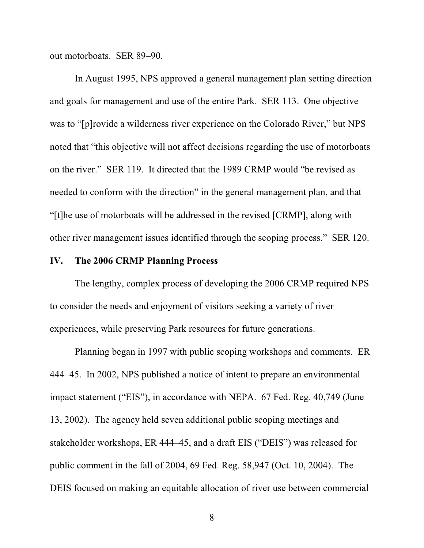out motorboats. SER 89–90.

In August 1995, NPS approved a general management plan setting direction and goals for management and use of the entire Park. SER 113. One objective was to "[p]rovide a wilderness river experience on the Colorado River," but NPS noted that "this objective will not affect decisions regarding the use of motorboats on the river." SER 119. It directed that the 1989 CRMP would "be revised as needed to conform with the direction" in the general management plan, and that "[t]he use of motorboats will be addressed in the revised [CRMP], along with other river management issues identified through the scoping process." SER 120.

#### **IV. The 2006 CRMP Planning Process**

The lengthy, complex process of developing the 2006 CRMP required NPS to consider the needs and enjoyment of visitors seeking a variety of river experiences, while preserving Park resources for future generations.

Planning began in 1997 with public scoping workshops and comments. ER 444–45. In 2002, NPS published a notice of intent to prepare an environmental impact statement ("EIS"), in accordance with NEPA. 67 Fed. Reg. 40,749 (June 13, 2002). The agency held seven additional public scoping meetings and stakeholder workshops, ER 444–45, and a draft EIS ("DEIS") was released for public comment in the fall of 2004, 69 Fed. Reg. 58,947 (Oct. 10, 2004). The DEIS focused on making an equitable allocation of river use between commercial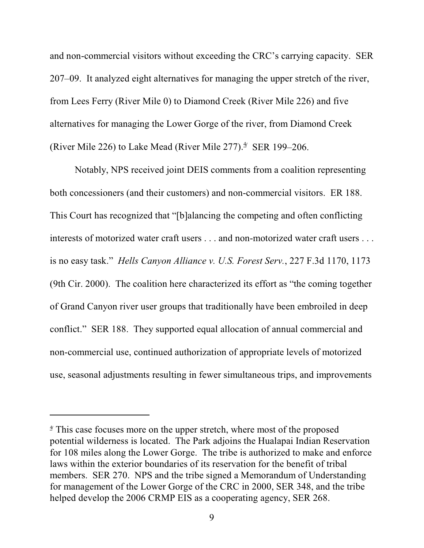and non-commercial visitors without exceeding the CRC's carrying capacity. SER 207–09. It analyzed eight alternatives for managing the upper stretch of the river, from Lees Ferry (River Mile 0) to Diamond Creek (River Mile 226) and five alternatives for managing the Lower Gorge of the river, from Diamond Creek (River Mile 226) to Lake Mead (River Mile 277). $\frac{4}{3}$  SER 199–206.

Notably, NPS received joint DEIS comments from a coalition representing both concessioners (and their customers) and non-commercial visitors. ER 188. This Court has recognized that "[b]alancing the competing and often conflicting interests of motorized water craft users . . . and non-motorized water craft users . . . is no easy task." *Hells Canyon Alliance v. U.S. Forest Serv.*, 227 F.3d 1170, 1173 (9th Cir. 2000). The coalition here characterized its effort as "the coming together of Grand Canyon river user groups that traditionally have been embroiled in deep conflict." SER 188. They supported equal allocation of annual commercial and non-commercial use, continued authorization of appropriate levels of motorized use, seasonal adjustments resulting in fewer simultaneous trips, and improvements

<sup>&</sup>lt;sup>4</sup> This case focuses more on the upper stretch, where most of the proposed potential wilderness is located. The Park adjoins the Hualapai Indian Reservation for 108 miles along the Lower Gorge. The tribe is authorized to make and enforce laws within the exterior boundaries of its reservation for the benefit of tribal members. SER 270. NPS and the tribe signed a Memorandum of Understanding for management of the Lower Gorge of the CRC in 2000, SER 348, and the tribe helped develop the 2006 CRMP EIS as a cooperating agency, SER 268.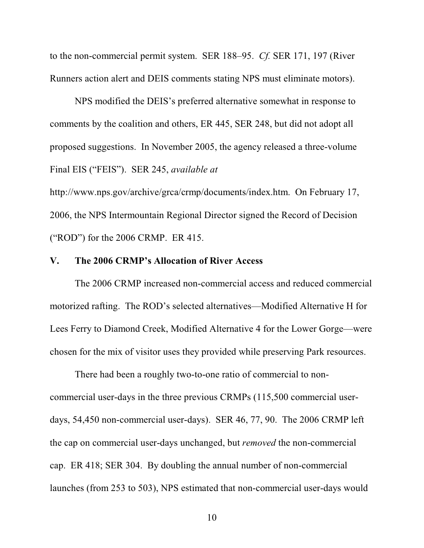to the non-commercial permit system. SER 188–95. *Cf.* SER 171, 197 (River Runners action alert and DEIS comments stating NPS must eliminate motors).

NPS modified the DEIS's preferred alternative somewhat in response to comments by the coalition and others, ER 445, SER 248, but did not adopt all proposed suggestions. In November 2005, the agency released a three-volume Final EIS ("FEIS"). SER 245, *available at*

http://www.nps.gov/archive/grca/crmp/documents/index.htm. On February 17, 2006, the NPS Intermountain Regional Director signed the Record of Decision ("ROD") for the 2006 CRMP. ER 415.

#### **V. The 2006 CRMP's Allocation of River Access**

The 2006 CRMP increased non-commercial access and reduced commercial motorized rafting. The ROD's selected alternatives—Modified Alternative H for Lees Ferry to Diamond Creek, Modified Alternative 4 for the Lower Gorge—were chosen for the mix of visitor uses they provided while preserving Park resources.

There had been a roughly two-to-one ratio of commercial to noncommercial user-days in the three previous CRMPs (115,500 commercial userdays, 54,450 non-commercial user-days). SER 46, 77, 90. The 2006 CRMP left the cap on commercial user-days unchanged, but *removed* the non-commercial cap. ER 418; SER 304. By doubling the annual number of non-commercial launches (from 253 to 503), NPS estimated that non-commercial user-days would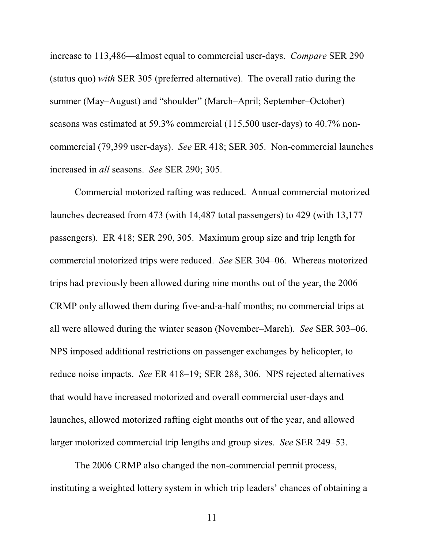increase to 113,486—almost equal to commercial user-days. *Compare* SER 290 (status quo) *with* SER 305 (preferred alternative). The overall ratio during the summer (May–August) and "shoulder" (March–April; September–October) seasons was estimated at 59.3% commercial (115,500 user-days) to 40.7% noncommercial (79,399 user-days). *See* ER 418; SER 305. Non-commercial launches increased in *all* seasons. *See* SER 290; 305.

Commercial motorized rafting was reduced. Annual commercial motorized launches decreased from 473 (with 14,487 total passengers) to 429 (with 13,177 passengers). ER 418; SER 290, 305. Maximum group size and trip length for commercial motorized trips were reduced. *See* SER 304–06. Whereas motorized trips had previously been allowed during nine months out of the year, the 2006 CRMP only allowed them during five-and-a-half months; no commercial trips at all were allowed during the winter season (November–March). *See* SER 303–06. NPS imposed additional restrictions on passenger exchanges by helicopter, to reduce noise impacts. *See* ER 418–19; SER 288, 306. NPS rejected alternatives that would have increased motorized and overall commercial user-days and launches, allowed motorized rafting eight months out of the year, and allowed larger motorized commercial trip lengths and group sizes. *See* SER 249–53.

The 2006 CRMP also changed the non-commercial permit process, instituting a weighted lottery system in which trip leaders' chances of obtaining a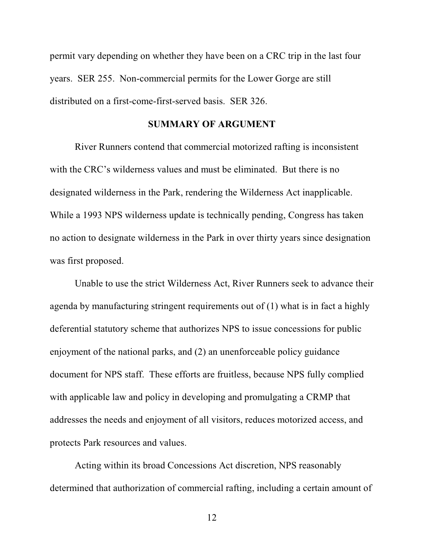permit vary depending on whether they have been on a CRC trip in the last four years. SER 255. Non-commercial permits for the Lower Gorge are still distributed on a first-come-first-served basis. SER 326.

#### **SUMMARY OF ARGUMENT**

River Runners contend that commercial motorized rafting is inconsistent with the CRC's wilderness values and must be eliminated. But there is no designated wilderness in the Park, rendering the Wilderness Act inapplicable. While a 1993 NPS wilderness update is technically pending, Congress has taken no action to designate wilderness in the Park in over thirty years since designation was first proposed.

Unable to use the strict Wilderness Act, River Runners seek to advance their agenda by manufacturing stringent requirements out of (1) what is in fact a highly deferential statutory scheme that authorizes NPS to issue concessions for public enjoyment of the national parks, and (2) an unenforceable policy guidance document for NPS staff. These efforts are fruitless, because NPS fully complied with applicable law and policy in developing and promulgating a CRMP that addresses the needs and enjoyment of all visitors, reduces motorized access, and protects Park resources and values.

Acting within its broad Concessions Act discretion, NPS reasonably determined that authorization of commercial rafting, including a certain amount of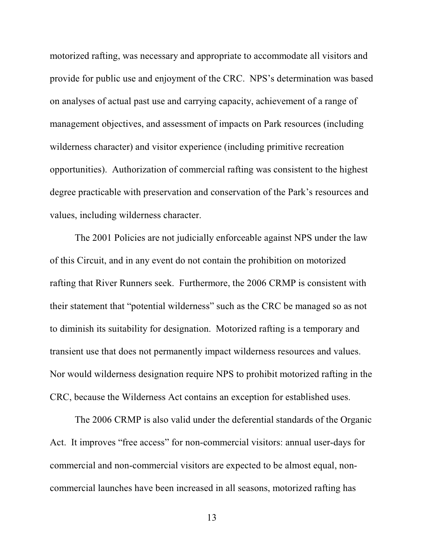motorized rafting, was necessary and appropriate to accommodate all visitors and provide for public use and enjoyment of the CRC. NPS's determination was based on analyses of actual past use and carrying capacity, achievement of a range of management objectives, and assessment of impacts on Park resources (including wilderness character) and visitor experience (including primitive recreation opportunities). Authorization of commercial rafting was consistent to the highest degree practicable with preservation and conservation of the Park's resources and values, including wilderness character.

The 2001 Policies are not judicially enforceable against NPS under the law of this Circuit, and in any event do not contain the prohibition on motorized rafting that River Runners seek. Furthermore, the 2006 CRMP is consistent with their statement that "potential wilderness" such as the CRC be managed so as not to diminish its suitability for designation. Motorized rafting is a temporary and transient use that does not permanently impact wilderness resources and values. Nor would wilderness designation require NPS to prohibit motorized rafting in the CRC, because the Wilderness Act contains an exception for established uses.

The 2006 CRMP is also valid under the deferential standards of the Organic Act. It improves "free access" for non-commercial visitors: annual user-days for commercial and non-commercial visitors are expected to be almost equal, noncommercial launches have been increased in all seasons, motorized rafting has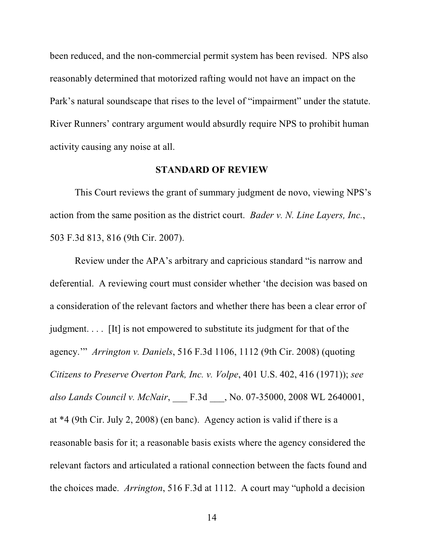been reduced, and the non-commercial permit system has been revised. NPS also reasonably determined that motorized rafting would not have an impact on the Park's natural soundscape that rises to the level of "impairment" under the statute. River Runners' contrary argument would absurdly require NPS to prohibit human activity causing any noise at all.

#### **STANDARD OF REVIEW**

This Court reviews the grant of summary judgment de novo, viewing NPS's action from the same position as the district court. *Bader v. N. Line Layers, Inc.*, 503 F.3d 813, 816 (9th Cir. 2007).

Review under the APA's arbitrary and capricious standard "is narrow and deferential. A reviewing court must consider whether 'the decision was based on a consideration of the relevant factors and whether there has been a clear error of judgment. . . . [It] is not empowered to substitute its judgment for that of the agency.'" *Arrington v. Daniels*, 516 F.3d 1106, 1112 (9th Cir. 2008) (quoting *Citizens to Preserve Overton Park, Inc. v. Volpe*, 401 U.S. 402, 416 (1971)); *see also Lands Council v. McNair*, \_\_\_ F.3d \_\_\_, No. 07-35000, 2008 WL 2640001, at \*4 (9th Cir. July 2, 2008) (en banc). Agency action is valid if there is a reasonable basis for it; a reasonable basis exists where the agency considered the relevant factors and articulated a rational connection between the facts found and the choices made. *Arrington*, 516 F.3d at 1112. A court may "uphold a decision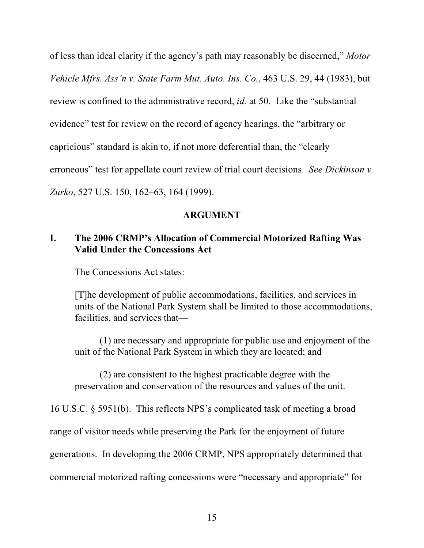of less than ideal clarity if the agency's path may reasonably be discerned," *Motor Vehicle Mfrs. Ass'n v. State Farm Mut. Auto. Ins. Co.*, 463 U.S. 29, 44 (1983), but review is confined to the administrative record, *id.* at 50. Like the "substantial evidence" test for review on the record of agency hearings, the "arbitrary or capricious" standard is akin to, if not more deferential than, the "clearly erroneous" test for appellate court review of trial court decisions. *See Dickinson v. Zurko*, 527 U.S. 150, 162–63, 164 (1999).

### **ARGUMENT**

## **I. The 2006 CRMP's Allocation of Commercial Motorized Rafting Was Valid Under the Concessions Act**

The Concessions Act states:

[T]he development of public accommodations, facilities, and services in units of the National Park System shall be limited to those accommodations, facilities, and services that—

(1) are necessary and appropriate for public use and enjoyment of the unit of the National Park System in which they are located; and

(2) are consistent to the highest practicable degree with the preservation and conservation of the resources and values of the unit.

16 U.S.C. § 5951(b). This reflects NPS's complicated task of meeting a broad range of visitor needs while preserving the Park for the enjoyment of future generations. In developing the 2006 CRMP, NPS appropriately determined that commercial motorized rafting concessions were "necessary and appropriate" for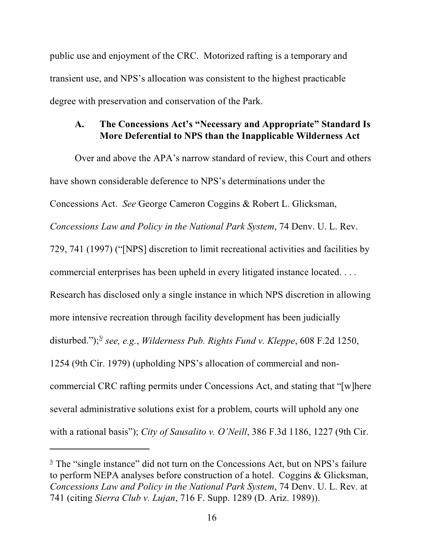public use and enjoyment of the CRC. Motorized rafting is a temporary and transient use, and NPS's allocation was consistent to the highest practicable degree with preservation and conservation of the Park.

### **A. The Concessions Act's "Necessary and Appropriate" Standard Is More Deferential to NPS than the Inapplicable Wilderness Act**

Over and above the APA's narrow standard of review, this Court and others have shown considerable deference to NPS's determinations under the Concessions Act. *See* George Cameron Coggins & Robert L. Glicksman, *Concessions Law and Policy in the National Park System*, 74 Denv. U. L. Rev. 729, 741 (1997) ("[NPS] discretion to limit recreational activities and facilities by commercial enterprises has been upheld in every litigated instance located. . . . Research has disclosed only a single instance in which NPS discretion in allowing more intensive recreation through facility development has been judicially disturbed.");<sup>5/2</sup> see, e.g., Wilderness Pub. Rights Fund v. Kleppe, 608 F.2d 1250, 1254 (9th Cir. 1979) (upholding NPS's allocation of commercial and noncommercial CRC rafting permits under Concessions Act, and stating that "[w]here several administrative solutions exist for a problem, courts will uphold any one with a rational basis"); *City of Sausalito v. O'Neill*, 386 F.3d 1186, 1227 (9th Cir.

 $\frac{5}{2}$  The "single instance" did not turn on the Concessions Act, but on NPS's failure to perform NEPA analyses before construction of a hotel. Coggins & Glicksman, *Concessions Law and Policy in the National Park System*, 74 Denv. U. L. Rev. at 741 (citing *Sierra Club v. Lujan*, 716 F. Supp. 1289 (D. Ariz. 1989)).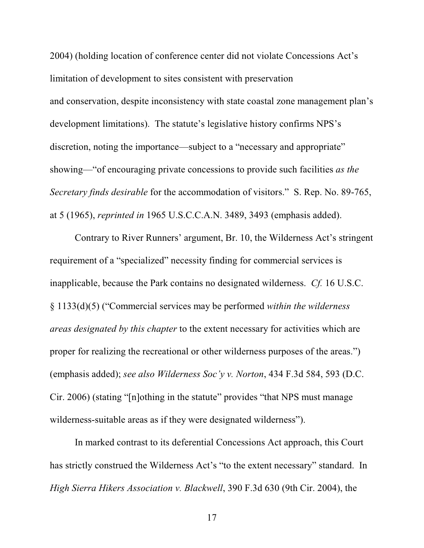2004) (holding location of conference center did not violate Concessions Act's limitation of development to sites consistent with preservation and conservation, despite inconsistency with state coastal zone management plan's development limitations). The statute's legislative history confirms NPS's discretion, noting the importance—subject to a "necessary and appropriate" showing—"of encouraging private concessions to provide such facilities *as the Secretary finds desirable* for the accommodation of visitors." S. Rep. No. 89-765, at 5 (1965), *reprinted in* 1965 U.S.C.C.A.N. 3489, 3493 (emphasis added).

Contrary to River Runners' argument, Br. 10, the Wilderness Act's stringent requirement of a "specialized" necessity finding for commercial services is inapplicable, because the Park contains no designated wilderness. *Cf.* 16 U.S.C. § 1133(d)(5) ("Commercial services may be performed *within the wilderness areas designated by this chapter* to the extent necessary for activities which are proper for realizing the recreational or other wilderness purposes of the areas.") (emphasis added); *see also Wilderness Soc'y v. Norton*, 434 F.3d 584, 593 (D.C. Cir. 2006) (stating "[n]othing in the statute" provides "that NPS must manage wilderness-suitable areas as if they were designated wilderness").

In marked contrast to its deferential Concessions Act approach, this Court has strictly construed the Wilderness Act's "to the extent necessary" standard. In *High Sierra Hikers Association v. Blackwell*, 390 F.3d 630 (9th Cir. 2004), the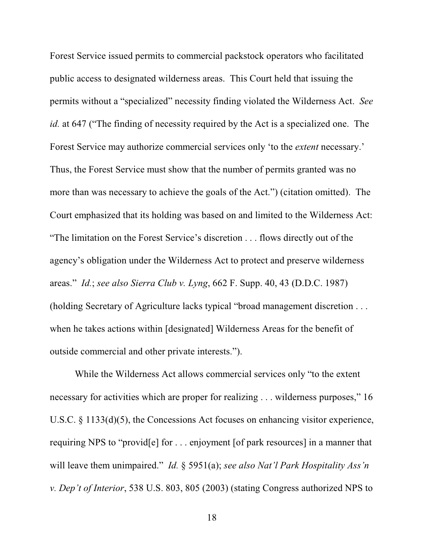Forest Service issued permits to commercial packstock operators who facilitated public access to designated wilderness areas. This Court held that issuing the permits without a "specialized" necessity finding violated the Wilderness Act. *See id.* at 647 ("The finding of necessity required by the Act is a specialized one. The Forest Service may authorize commercial services only 'to the *extent* necessary.' Thus, the Forest Service must show that the number of permits granted was no more than was necessary to achieve the goals of the Act.") (citation omitted). The Court emphasized that its holding was based on and limited to the Wilderness Act: "The limitation on the Forest Service's discretion . . . flows directly out of the agency's obligation under the Wilderness Act to protect and preserve wilderness areas." *Id.*; *see also Sierra Club v. Lyng*, 662 F. Supp. 40, 43 (D.D.C. 1987) (holding Secretary of Agriculture lacks typical "broad management discretion . . . when he takes actions within [designated] Wilderness Areas for the benefit of outside commercial and other private interests.").

While the Wilderness Act allows commercial services only "to the extent necessary for activities which are proper for realizing . . . wilderness purposes," 16 U.S.C. § 1133(d)(5), the Concessions Act focuses on enhancing visitor experience, requiring NPS to "provid[e] for . . . enjoyment [of park resources] in a manner that will leave them unimpaired." *Id.* § 5951(a); *see also Nat'l Park Hospitality Ass'n v. Dep't of Interior*, 538 U.S. 803, 805 (2003) (stating Congress authorized NPS to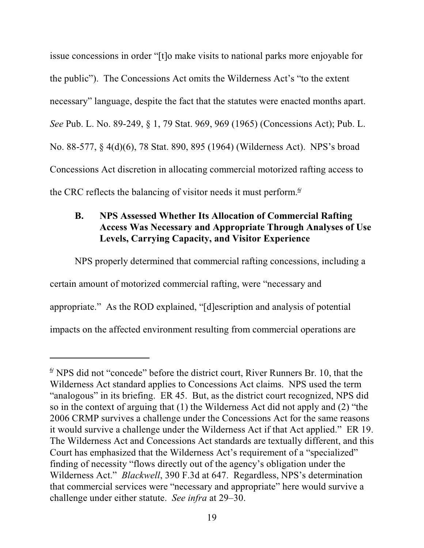issue concessions in order "[t]o make visits to national parks more enjoyable for the public"). The Concessions Act omits the Wilderness Act's "to the extent necessary" language, despite the fact that the statutes were enacted months apart. *See* Pub. L. No. 89-249, § 1, 79 Stat. 969, 969 (1965) (Concessions Act); Pub. L. No. 88-577, § 4(d)(6), 78 Stat. 890, 895 (1964) (Wilderness Act). NPS's broad Concessions Act discretion in allocating commercial motorized rafting access to the CRC reflects the balancing of visitor needs it must perform. $\frac{6}{1}$ 

## **B. NPS Assessed Whether Its Allocation of Commercial Rafting Access Was Necessary and Appropriate Through Analyses of Use Levels, Carrying Capacity, and Visitor Experience**

NPS properly determined that commercial rafting concessions, including a certain amount of motorized commercial rafting, were "necessary and appropriate." As the ROD explained, "[d]escription and analysis of potential impacts on the affected environment resulting from commercial operations are

 $\frac{6}{9}$  NPS did not "concede" before the district court, River Runners Br. 10, that the Wilderness Act standard applies to Concessions Act claims. NPS used the term "analogous" in its briefing. ER 45. But, as the district court recognized, NPS did so in the context of arguing that (1) the Wilderness Act did not apply and (2) "the 2006 CRMP survives a challenge under the Concessions Act for the same reasons it would survive a challenge under the Wilderness Act if that Act applied." ER 19. The Wilderness Act and Concessions Act standards are textually different, and this Court has emphasized that the Wilderness Act's requirement of a "specialized" finding of necessity "flows directly out of the agency's obligation under the Wilderness Act." *Blackwell*, 390 F.3d at 647. Regardless, NPS's determination that commercial services were "necessary and appropriate" here would survive a challenge under either statute. *See infra* at 29–30.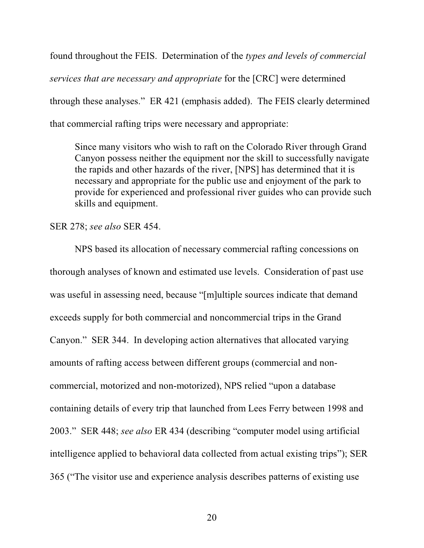found throughout the FEIS. Determination of the *types and levels of commercial services that are necessary and appropriate* for the [CRC] were determined through these analyses." ER 421 (emphasis added). The FEIS clearly determined that commercial rafting trips were necessary and appropriate:

Since many visitors who wish to raft on the Colorado River through Grand Canyon possess neither the equipment nor the skill to successfully navigate the rapids and other hazards of the river, [NPS] has determined that it is necessary and appropriate for the public use and enjoyment of the park to provide for experienced and professional river guides who can provide such skills and equipment.

SER 278; *see also* SER 454.

NPS based its allocation of necessary commercial rafting concessions on thorough analyses of known and estimated use levels. Consideration of past use was useful in assessing need, because "[m]ultiple sources indicate that demand exceeds supply for both commercial and noncommercial trips in the Grand Canyon." SER 344. In developing action alternatives that allocated varying amounts of rafting access between different groups (commercial and noncommercial, motorized and non-motorized), NPS relied "upon a database containing details of every trip that launched from Lees Ferry between 1998 and 2003." SER 448; *see also* ER 434 (describing "computer model using artificial intelligence applied to behavioral data collected from actual existing trips"); SER 365 ("The visitor use and experience analysis describes patterns of existing use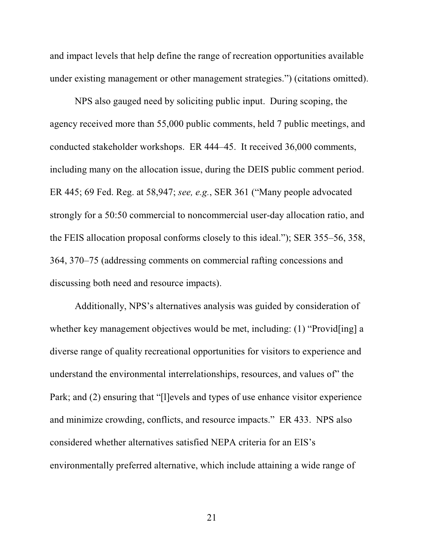and impact levels that help define the range of recreation opportunities available under existing management or other management strategies.") (citations omitted).

NPS also gauged need by soliciting public input. During scoping, the agency received more than 55,000 public comments, held 7 public meetings, and conducted stakeholder workshops. ER 444–45. It received 36,000 comments, including many on the allocation issue, during the DEIS public comment period. ER 445; 69 Fed. Reg. at 58,947; *see, e.g.*, SER 361 ("Many people advocated strongly for a 50:50 commercial to noncommercial user-day allocation ratio, and the FEIS allocation proposal conforms closely to this ideal."); SER 355–56, 358, 364, 370–75 (addressing comments on commercial rafting concessions and discussing both need and resource impacts).

Additionally, NPS's alternatives analysis was guided by consideration of whether key management objectives would be met, including: (1) "Provid[ing] a diverse range of quality recreational opportunities for visitors to experience and understand the environmental interrelationships, resources, and values of" the Park; and (2) ensuring that "[l]evels and types of use enhance visitor experience and minimize crowding, conflicts, and resource impacts." ER 433. NPS also considered whether alternatives satisfied NEPA criteria for an EIS's environmentally preferred alternative, which include attaining a wide range of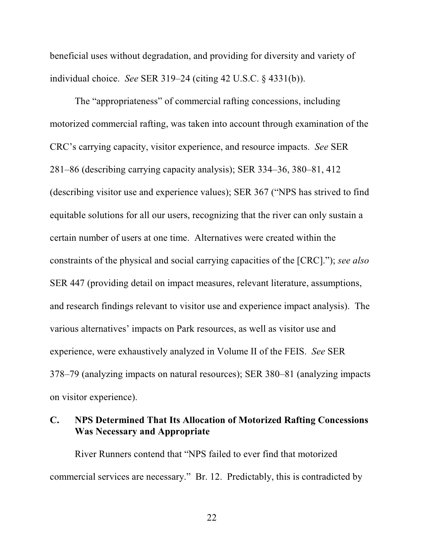beneficial uses without degradation, and providing for diversity and variety of individual choice. *See* SER 319–24 (citing 42 U.S.C. § 4331(b)).

The "appropriateness" of commercial rafting concessions, including motorized commercial rafting, was taken into account through examination of the CRC's carrying capacity, visitor experience, and resource impacts. *See* SER 281–86 (describing carrying capacity analysis); SER 334–36, 380–81, 412 (describing visitor use and experience values); SER 367 ("NPS has strived to find equitable solutions for all our users, recognizing that the river can only sustain a certain number of users at one time. Alternatives were created within the constraints of the physical and social carrying capacities of the [CRC]."); *see also* SER 447 (providing detail on impact measures, relevant literature, assumptions, and research findings relevant to visitor use and experience impact analysis). The various alternatives' impacts on Park resources, as well as visitor use and experience, were exhaustively analyzed in Volume II of the FEIS. *See* SER 378–79 (analyzing impacts on natural resources); SER 380–81 (analyzing impacts on visitor experience).

### **C. NPS Determined That Its Allocation of Motorized Rafting Concessions Was Necessary and Appropriate**

River Runners contend that "NPS failed to ever find that motorized commercial services are necessary." Br. 12. Predictably, this is contradicted by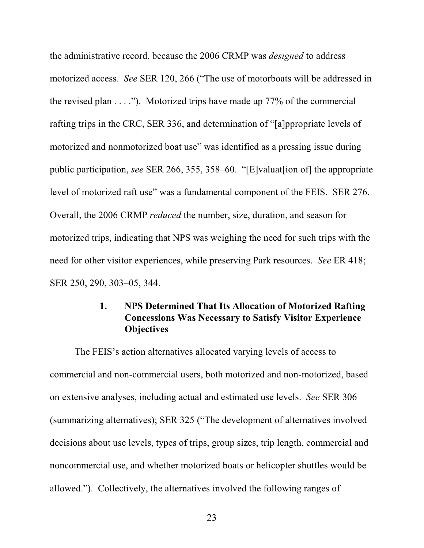the administrative record, because the 2006 CRMP was *designed* to address motorized access. *See* SER 120, 266 ("The use of motorboats will be addressed in the revised plan  $\dots$ ."). Motorized trips have made up 77% of the commercial rafting trips in the CRC, SER 336, and determination of "[a]ppropriate levels of motorized and nonmotorized boat use" was identified as a pressing issue during public participation, *see* SER 266, 355, 358–60. "[E]valuat[ion of] the appropriate level of motorized raft use" was a fundamental component of the FEIS. SER 276. Overall, the 2006 CRMP *reduced* the number, size, duration, and season for motorized trips, indicating that NPS was weighing the need for such trips with the need for other visitor experiences, while preserving Park resources. *See* ER 418; SER 250, 290, 303–05, 344.

### **1. NPS Determined That Its Allocation of Motorized Rafting Concessions Was Necessary to Satisfy Visitor Experience Objectives**

The FEIS's action alternatives allocated varying levels of access to commercial and non-commercial users, both motorized and non-motorized, based on extensive analyses, including actual and estimated use levels. *See* SER 306 (summarizing alternatives); SER 325 ("The development of alternatives involved decisions about use levels, types of trips, group sizes, trip length, commercial and noncommercial use, and whether motorized boats or helicopter shuttles would be allowed."). Collectively, the alternatives involved the following ranges of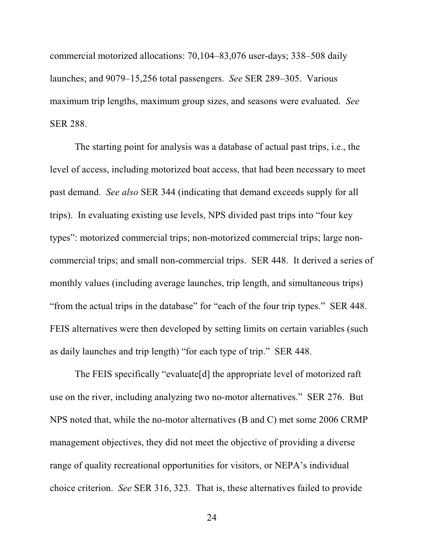commercial motorized allocations: 70,104–83,076 user-days; 338–508 daily launches; and 9079–15,256 total passengers. *See* SER 289–305. Various maximum trip lengths, maximum group sizes, and seasons were evaluated. *See* SER 288.

The starting point for analysis was a database of actual past trips, i.e., the level of access, including motorized boat access, that had been necessary to meet past demand. *See also* SER 344 (indicating that demand exceeds supply for all trips). In evaluating existing use levels, NPS divided past trips into "four key types": motorized commercial trips; non-motorized commercial trips; large noncommercial trips; and small non-commercial trips. SER 448. It derived a series of monthly values (including average launches, trip length, and simultaneous trips) "from the actual trips in the database" for "each of the four trip types." SER 448. FEIS alternatives were then developed by setting limits on certain variables (such as daily launches and trip length) "for each type of trip." SER 448.

The FEIS specifically "evaluate[d] the appropriate level of motorized raft use on the river, including analyzing two no-motor alternatives." SER 276. But NPS noted that, while the no-motor alternatives (B and C) met some 2006 CRMP management objectives, they did not meet the objective of providing a diverse range of quality recreational opportunities for visitors, or NEPA's individual choice criterion. *See* SER 316, 323. That is, these alternatives failed to provide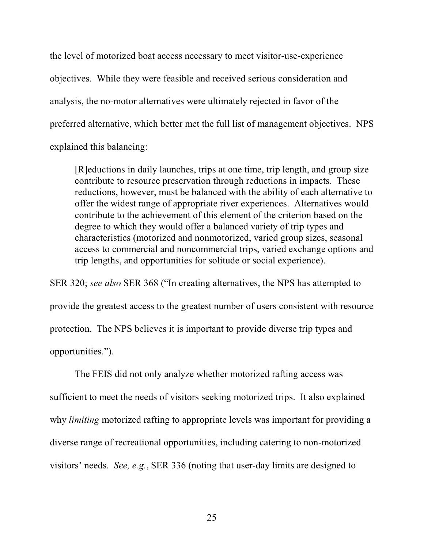the level of motorized boat access necessary to meet visitor-use-experience objectives. While they were feasible and received serious consideration and analysis, the no-motor alternatives were ultimately rejected in favor of the preferred alternative, which better met the full list of management objectives. NPS explained this balancing:

[R]eductions in daily launches, trips at one time, trip length, and group size contribute to resource preservation through reductions in impacts. These reductions, however, must be balanced with the ability of each alternative to offer the widest range of appropriate river experiences. Alternatives would contribute to the achievement of this element of the criterion based on the degree to which they would offer a balanced variety of trip types and characteristics (motorized and nonmotorized, varied group sizes, seasonal access to commercial and noncommercial trips, varied exchange options and trip lengths, and opportunities for solitude or social experience).

SER 320; *see also* SER 368 ("In creating alternatives, the NPS has attempted to provide the greatest access to the greatest number of users consistent with resource protection. The NPS believes it is important to provide diverse trip types and opportunities.").

The FEIS did not only analyze whether motorized rafting access was sufficient to meet the needs of visitors seeking motorized trips. It also explained why *limiting* motorized rafting to appropriate levels was important for providing a diverse range of recreational opportunities, including catering to non-motorized visitors' needs. *See, e.g.*, SER 336 (noting that user-day limits are designed to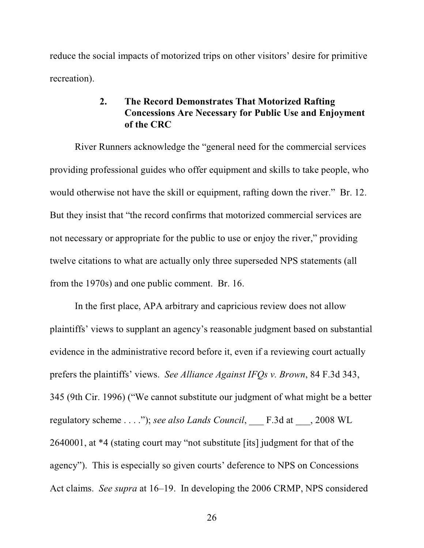reduce the social impacts of motorized trips on other visitors' desire for primitive recreation).

### **2. The Record Demonstrates That Motorized Rafting Concessions Are Necessary for Public Use and Enjoyment of the CRC**

River Runners acknowledge the "general need for the commercial services providing professional guides who offer equipment and skills to take people, who would otherwise not have the skill or equipment, rafting down the river." Br. 12. But they insist that "the record confirms that motorized commercial services are not necessary or appropriate for the public to use or enjoy the river," providing twelve citations to what are actually only three superseded NPS statements (all from the 1970s) and one public comment. Br. 16.

In the first place, APA arbitrary and capricious review does not allow plaintiffs' views to supplant an agency's reasonable judgment based on substantial evidence in the administrative record before it, even if a reviewing court actually prefers the plaintiffs' views. *See Alliance Against IFQs v. Brown*, 84 F.3d 343, 345 (9th Cir. 1996) ("We cannot substitute our judgment of what might be a better regulatory scheme . . . ."); *see also Lands Council*, \_\_\_ F.3d at \_\_\_, 2008 WL 2640001, at \*4 (stating court may "not substitute [its] judgment for that of the agency"). This is especially so given courts' deference to NPS on Concessions Act claims. *See supra* at 16–19. In developing the 2006 CRMP, NPS considered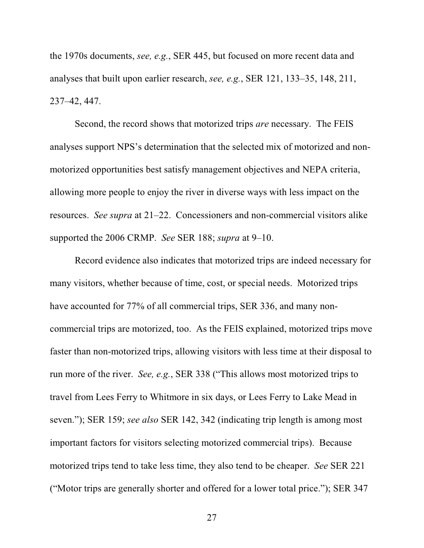the 1970s documents, *see, e.g.*, SER 445, but focused on more recent data and analyses that built upon earlier research, *see, e.g.*, SER 121, 133–35, 148, 211, 237–42, 447.

Second, the record shows that motorized trips *are* necessary. The FEIS analyses support NPS's determination that the selected mix of motorized and nonmotorized opportunities best satisfy management objectives and NEPA criteria, allowing more people to enjoy the river in diverse ways with less impact on the resources. *See supra* at 21–22. Concessioners and non-commercial visitors alike supported the 2006 CRMP. *See* SER 188; *supra* at 9–10.

Record evidence also indicates that motorized trips are indeed necessary for many visitors, whether because of time, cost, or special needs. Motorized trips have accounted for 77% of all commercial trips, SER 336, and many noncommercial trips are motorized, too. As the FEIS explained, motorized trips move faster than non-motorized trips, allowing visitors with less time at their disposal to run more of the river. *See, e.g.*, SER 338 ("This allows most motorized trips to travel from Lees Ferry to Whitmore in six days, or Lees Ferry to Lake Mead in seven."); SER 159; *see also* SER 142, 342 (indicating trip length is among most important factors for visitors selecting motorized commercial trips).Because motorized trips tend to take less time, they also tend to be cheaper. *See* SER 221 ("Motor trips are generally shorter and offered for a lower total price."); SER 347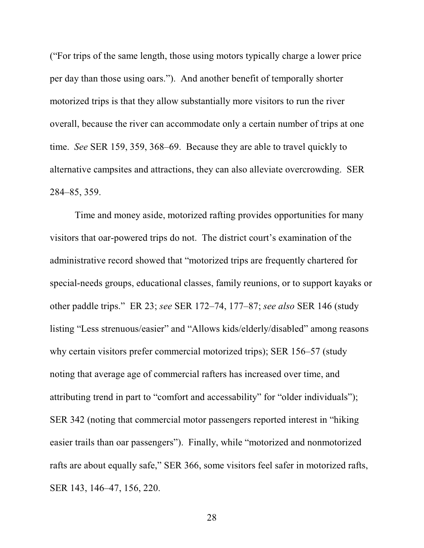("For trips of the same length, those using motors typically charge a lower price per day than those using oars."). And another benefit of temporally shorter motorized trips is that they allow substantially more visitors to run the river overall, because the river can accommodate only a certain number of trips at one time. *See* SER 159, 359, 368–69. Because they are able to travel quickly to alternative campsites and attractions, they can also alleviate overcrowding. SER 284–85, 359.

Time and money aside, motorized rafting provides opportunities for many visitors that oar-powered trips do not. The district court's examination of the administrative record showed that "motorized trips are frequently chartered for special-needs groups, educational classes, family reunions, or to support kayaks or other paddle trips." ER 23; *see* SER 172–74, 177–87; *see also* SER 146 (study listing "Less strenuous/easier" and "Allows kids/elderly/disabled" among reasons why certain visitors prefer commercial motorized trips); SER 156–57 (study noting that average age of commercial rafters has increased over time, and attributing trend in part to "comfort and accessability" for "older individuals"); SER 342 (noting that commercial motor passengers reported interest in "hiking easier trails than oar passengers"). Finally, while "motorized and nonmotorized rafts are about equally safe," SER 366, some visitors feel safer in motorized rafts, SER 143, 146–47, 156, 220.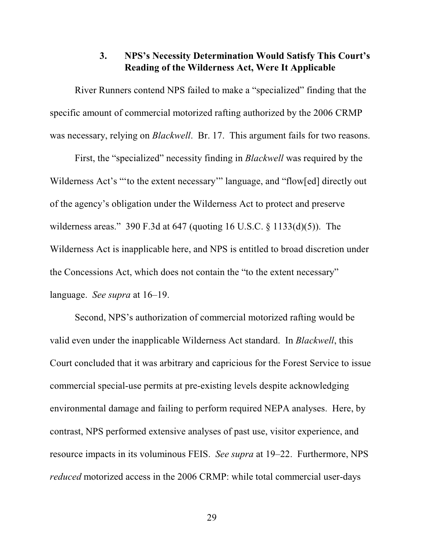## **3. NPS's Necessity Determination Would Satisfy This Court's Reading of the Wilderness Act, Were It Applicable**

River Runners contend NPS failed to make a "specialized" finding that the specific amount of commercial motorized rafting authorized by the 2006 CRMP was necessary, relying on *Blackwell*. Br. 17. This argument fails for two reasons.

First, the "specialized" necessity finding in *Blackwell* was required by the Wilderness Act's "'to the extent necessary'" language, and "flow[ed] directly out of the agency's obligation under the Wilderness Act to protect and preserve wilderness areas." 390 F.3d at 647 (quoting 16 U.S.C. § 1133(d)(5)). The Wilderness Act is inapplicable here, and NPS is entitled to broad discretion under the Concessions Act, which does not contain the "to the extent necessary" language. *See supra* at 16–19.

Second, NPS's authorization of commercial motorized rafting would be valid even under the inapplicable Wilderness Act standard. In *Blackwell*, this Court concluded that it was arbitrary and capricious for the Forest Service to issue commercial special-use permits at pre-existing levels despite acknowledging environmental damage and failing to perform required NEPA analyses. Here, by contrast, NPS performed extensive analyses of past use, visitor experience, and resource impacts in its voluminous FEIS. *See supra* at 19–22. Furthermore, NPS *reduced* motorized access in the 2006 CRMP: while total commercial user-days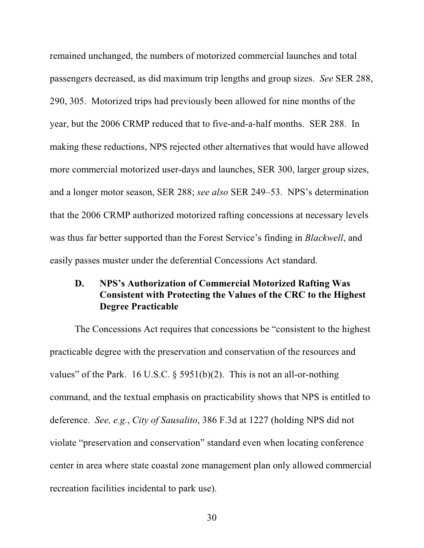remained unchanged, the numbers of motorized commercial launches and total passengers decreased, as did maximum trip lengths and group sizes. *See* SER 288, 290, 305. Motorized trips had previously been allowed for nine months of the year, but the 2006 CRMP reduced that to five-and-a-half months. SER 288. In making these reductions, NPS rejected other alternatives that would have allowed more commercial motorized user-days and launches, SER 300, larger group sizes, and a longer motor season, SER 288; *see also* SER 249–53. NPS's determination that the 2006 CRMP authorized motorized rafting concessions at necessary levels was thus far better supported than the Forest Service's finding in *Blackwell*, and easily passes muster under the deferential Concessions Act standard.

## **D. NPS's Authorization of Commercial Motorized Rafting Was Consistent with Protecting the Values of the CRC to the Highest Degree Practicable**

The Concessions Act requires that concessions be "consistent to the highest practicable degree with the preservation and conservation of the resources and values" of the Park. 16 U.S.C.  $\S$  5951(b)(2). This is not an all-or-nothing command, and the textual emphasis on practicability shows that NPS is entitled to deference. *See, e.g.*, *City of Sausalito*, 386 F.3d at 1227 (holding NPS did not violate "preservation and conservation" standard even when locating conference center in area where state coastal zone management plan only allowed commercial recreation facilities incidental to park use).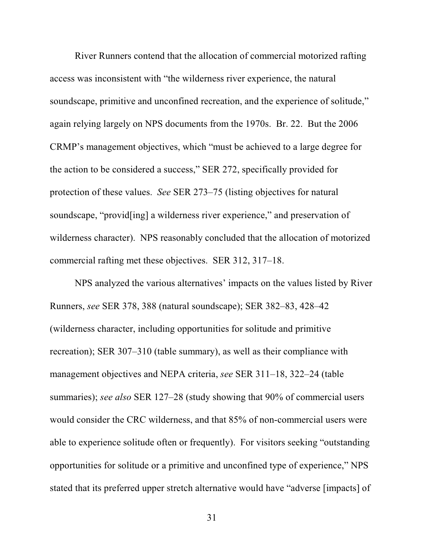River Runners contend that the allocation of commercial motorized rafting access was inconsistent with "the wilderness river experience, the natural soundscape, primitive and unconfined recreation, and the experience of solitude," again relying largely on NPS documents from the 1970s. Br. 22. But the 2006 CRMP's management objectives, which "must be achieved to a large degree for the action to be considered a success," SER 272, specifically provided for protection of these values. *See* SER 273–75 (listing objectives for natural soundscape, "provid[ing] a wilderness river experience," and preservation of wilderness character). NPS reasonably concluded that the allocation of motorized commercial rafting met these objectives. SER 312, 317–18.

NPS analyzed the various alternatives' impacts on the values listed by River Runners, *see* SER 378, 388 (natural soundscape); SER 382–83, 428–42 (wilderness character, including opportunities for solitude and primitive recreation); SER 307–310 (table summary), as well as their compliance with management objectives and NEPA criteria, *see* SER 311–18, 322–24 (table summaries); *see also* SER 127–28 (study showing that 90% of commercial users would consider the CRC wilderness, and that 85% of non-commercial users were able to experience solitude often or frequently). For visitors seeking "outstanding opportunities for solitude or a primitive and unconfined type of experience," NPS stated that its preferred upper stretch alternative would have "adverse [impacts] of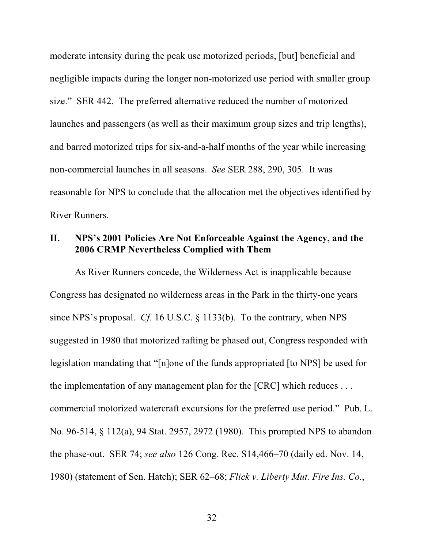moderate intensity during the peak use motorized periods, [but] beneficial and negligible impacts during the longer non-motorized use period with smaller group size." SER 442. The preferred alternative reduced the number of motorized launches and passengers (as well as their maximum group sizes and trip lengths), and barred motorized trips for six-and-a-half months of the year while increasing non-commercial launches in all seasons. *See* SER 288, 290, 305. It was reasonable for NPS to conclude that the allocation met the objectives identified by River Runners.

#### **II. NPS's 2001 Policies Are Not Enforceable Against the Agency, and the 2006 CRMP Nevertheless Complied with Them**

As River Runners concede, the Wilderness Act is inapplicable because Congress has designated no wilderness areas in the Park in the thirty-one years since NPS's proposal. *Cf.* 16 U.S.C. § 1133(b). To the contrary, when NPS suggested in 1980 that motorized rafting be phased out, Congress responded with legislation mandating that "[n]one of the funds appropriated [to NPS] be used for the implementation of any management plan for the [CRC] which reduces . . . commercial motorized watercraft excursions for the preferred use period." Pub. L. No. 96-514, § 112(a), 94 Stat. 2957, 2972 (1980). This prompted NPS to abandon the phase-out. SER 74; *see also* 126 Cong. Rec. S14,466–70 (daily ed. Nov. 14, 1980) (statement of Sen. Hatch); SER 62–68; *Flick v. Liberty Mut. Fire Ins. Co.*,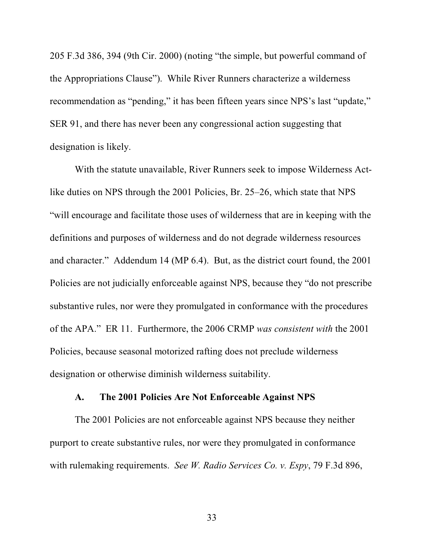205 F.3d 386, 394 (9th Cir. 2000) (noting "the simple, but powerful command of the Appropriations Clause"). While River Runners characterize a wilderness recommendation as "pending," it has been fifteen years since NPS's last "update," SER 91, and there has never been any congressional action suggesting that designation is likely.

With the statute unavailable, River Runners seek to impose Wilderness Actlike duties on NPS through the 2001 Policies, Br. 25–26, which state that NPS "will encourage and facilitate those uses of wilderness that are in keeping with the definitions and purposes of wilderness and do not degrade wilderness resources and character." Addendum 14 (MP 6.4). But, as the district court found, the 2001 Policies are not judicially enforceable against NPS, because they "do not prescribe substantive rules, nor were they promulgated in conformance with the procedures of the APA." ER 11. Furthermore, the 2006 CRMP *was consistent with* the 2001 Policies, because seasonal motorized rafting does not preclude wilderness designation or otherwise diminish wilderness suitability.

#### **A. The 2001 Policies Are Not Enforceable Against NPS**

The 2001 Policies are not enforceable against NPS because they neither purport to create substantive rules, nor were they promulgated in conformance with rulemaking requirements. *See W. Radio Services Co. v. Espy*, 79 F.3d 896,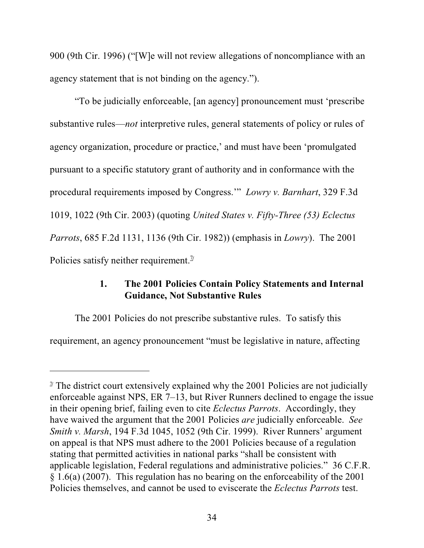900 (9th Cir. 1996) ("[W]e will not review allegations of noncompliance with an agency statement that is not binding on the agency.").

"To be judicially enforceable, [an agency] pronouncement must 'prescribe substantive rules—*not* interpretive rules, general statements of policy or rules of agency organization, procedure or practice,' and must have been 'promulgated pursuant to a specific statutory grant of authority and in conformance with the procedural requirements imposed by Congress.'" *Lowry v. Barnhart*, 329 F.3d 1019, 1022 (9th Cir. 2003) (quoting *United States v. Fifty-Three (53) Eclectus Parrots*, 685 F.2d 1131, 1136 (9th Cir. 1982)) (emphasis in *Lowry*). The 2001 Policies satisfy neither requirement.<sup>7/</sup>

# **1. The 2001 Policies Contain Policy Statements and Internal Guidance, Not Substantive Rules**

The 2001 Policies do not prescribe substantive rules. To satisfy this

requirement, an agency pronouncement "must be legislative in nature, affecting

 $\alpha$ <sup>*T*</sup> The district court extensively explained why the 2001 Policies are not judicially enforceable against NPS, ER 7–13, but River Runners declined to engage the issue in their opening brief, failing even to cite *Eclectus Parrots*. Accordingly, they have waived the argument that the 2001 Policies *are* judicially enforceable. *See Smith v. Marsh*, 194 F.3d 1045, 1052 (9th Cir. 1999). River Runners' argument on appeal is that NPS must adhere to the 2001 Policies because of a regulation stating that permitted activities in national parks "shall be consistent with applicable legislation, Federal regulations and administrative policies." 36 C.F.R. § 1.6(a) (2007). This regulation has no bearing on the enforceability of the 2001 Policies themselves, and cannot be used to eviscerate the *Eclectus Parrots* test.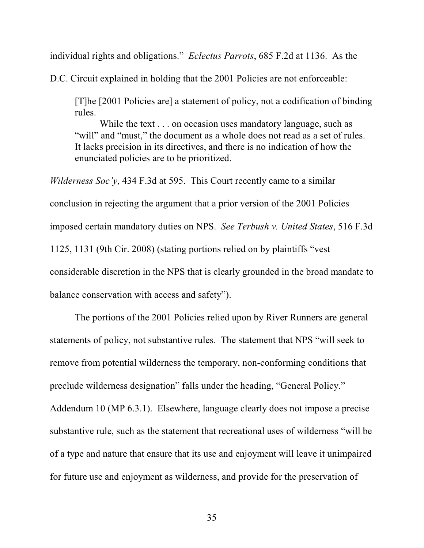individual rights and obligations." *Eclectus Parrots*, 685 F.2d at 1136. As the

D.C. Circuit explained in holding that the 2001 Policies are not enforceable:

[T]he [2001 Policies are] a statement of policy, not a codification of binding rules.

While the text . . . on occasion uses mandatory language, such as "will" and "must," the document as a whole does not read as a set of rules. It lacks precision in its directives, and there is no indication of how the enunciated policies are to be prioritized.

*Wilderness Soc'y*, 434 F.3d at 595. This Court recently came to a similar conclusion in rejecting the argument that a prior version of the 2001 Policies imposed certain mandatory duties on NPS. *See Terbush v. United States*, 516 F.3d 1125, 1131 (9th Cir. 2008) (stating portions relied on by plaintiffs "vest considerable discretion in the NPS that is clearly grounded in the broad mandate to balance conservation with access and safety").

The portions of the 2001 Policies relied upon by River Runners are general statements of policy, not substantive rules. The statement that NPS "will seek to remove from potential wilderness the temporary, non-conforming conditions that preclude wilderness designation" falls under the heading, "General Policy." Addendum 10 (MP 6.3.1). Elsewhere, language clearly does not impose a precise substantive rule, such as the statement that recreational uses of wilderness "will be of a type and nature that ensure that its use and enjoyment will leave it unimpaired for future use and enjoyment as wilderness, and provide for the preservation of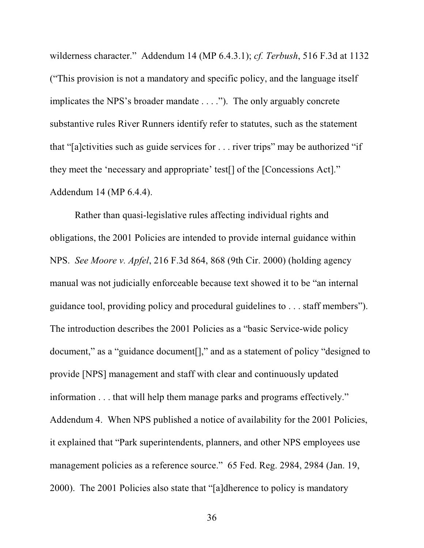wilderness character." Addendum 14 (MP 6.4.3.1); *cf. Terbush*, 516 F.3d at 1132 ("This provision is not a mandatory and specific policy, and the language itself implicates the NPS's broader mandate . . . ."). The only arguably concrete substantive rules River Runners identify refer to statutes, such as the statement that "[a]ctivities such as guide services for . . . river trips" may be authorized "if they meet the 'necessary and appropriate' test[] of the [Concessions Act]." Addendum 14 (MP 6.4.4).

Rather than quasi-legislative rules affecting individual rights and obligations, the 2001 Policies are intended to provide internal guidance within NPS. *See Moore v. Apfel*, 216 F.3d 864, 868 (9th Cir. 2000) (holding agency manual was not judicially enforceable because text showed it to be "an internal guidance tool, providing policy and procedural guidelines to . . . staff members"). The introduction describes the 2001 Policies as a "basic Service-wide policy document," as a "guidance document[]," and as a statement of policy "designed to provide [NPS] management and staff with clear and continuously updated information . . . that will help them manage parks and programs effectively." Addendum 4. When NPS published a notice of availability for the 2001 Policies, it explained that "Park superintendents, planners, and other NPS employees use management policies as a reference source." 65 Fed. Reg. 2984, 2984 (Jan. 19, 2000). The 2001 Policies also state that "[a]dherence to policy is mandatory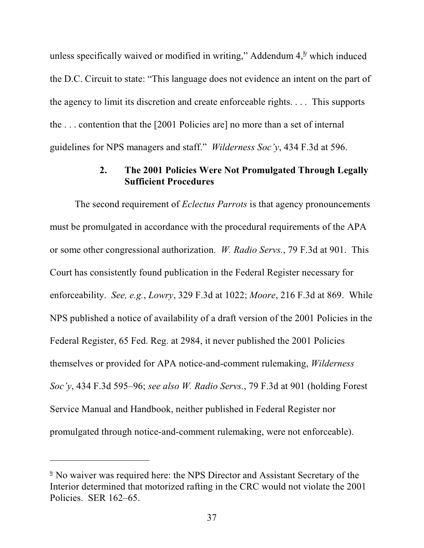unless specifically waived or modified in writing," Addendum  $4, <sup>8</sup>$  which induced the D.C. Circuit to state: "This language does not evidence an intent on the part of the agency to limit its discretion and create enforceable rights. . . . This supports the . . . contention that the [2001 Policies are] no more than a set of internal guidelines for NPS managers and staff." *Wilderness Soc'y*, 434 F.3d at 596.

## **2. The 2001 Policies Were Not Promulgated Through Legally Sufficient Procedures**

The second requirement of *Eclectus Parrots* is that agency pronouncements must be promulgated in accordance with the procedural requirements of the APA or some other congressional authorization. *W. Radio Servs.*, 79 F.3d at 901. This Court has consistently found publication in the Federal Register necessary for enforceability. *See, e.g.*, *Lowry*, 329 F.3d at 1022; *Moore*, 216 F.3d at 869. While NPS published a notice of availability of a draft version of the 2001 Policies in the Federal Register, 65 Fed. Reg. at 2984, it never published the 2001 Policies themselves or provided for APA notice-and-comment rulemaking, *Wilderness Soc'y*, 434 F.3d 595–96; *see also W. Radio Servs.*, 79 F.3d at 901 (holding Forest Service Manual and Handbook, neither published in Federal Register nor promulgated through notice-and-comment rulemaking, were not enforceable).

<sup>&</sup>lt;sup>8</sup> No waiver was required here: the NPS Director and Assistant Secretary of the Interior determined that motorized rafting in the CRC would not violate the 2001 Policies. SER 162–65.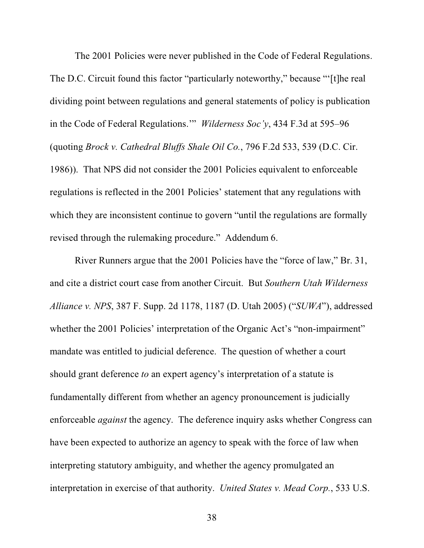The 2001 Policies were never published in the Code of Federal Regulations. The D.C. Circuit found this factor "particularly noteworthy," because "'[t]he real dividing point between regulations and general statements of policy is publication in the Code of Federal Regulations.'" *Wilderness Soc'y*, 434 F.3d at 595–96 (quoting *Brock v. Cathedral Bluffs Shale Oil Co.*, 796 F.2d 533, 539 (D.C. Cir. 1986)). That NPS did not consider the 2001 Policies equivalent to enforceable regulations is reflected in the 2001 Policies' statement that any regulations with which they are inconsistent continue to govern "until the regulations are formally revised through the rulemaking procedure." Addendum 6.

River Runners argue that the 2001 Policies have the "force of law," Br. 31, and cite a district court case from another Circuit. But *Southern Utah Wilderness Alliance v. NPS*, 387 F. Supp. 2d 1178, 1187 (D. Utah 2005) ("*SUWA*"), addressed whether the 2001 Policies' interpretation of the Organic Act's "non-impairment" mandate was entitled to judicial deference. The question of whether a court should grant deference *to* an expert agency's interpretation of a statute is fundamentally different from whether an agency pronouncement is judicially enforceable *against* the agency. The deference inquiry asks whether Congress can have been expected to authorize an agency to speak with the force of law when interpreting statutory ambiguity, and whether the agency promulgated an interpretation in exercise of that authority. *United States v. Mead Corp.*, 533 U.S.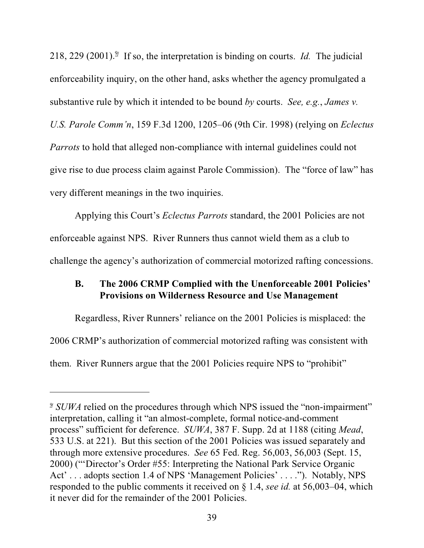218, 229 (2001).<sup> $\frac{9}{7}$ </sup> If so, the interpretation is binding on courts. *Id.* The judicial enforceability inquiry, on the other hand, asks whether the agency promulgated a substantive rule by which it intended to be bound *by* courts. *See, e.g.*, *James v. U.S. Parole Comm'n*, 159 F.3d 1200, 1205–06 (9th Cir. 1998) (relying on *Eclectus Parrots* to hold that alleged non-compliance with internal guidelines could not give rise to due process claim against Parole Commission). The "force of law" has very different meanings in the two inquiries.

Applying this Court's *Eclectus Parrots* standard, the 2001 Policies are not enforceable against NPS. River Runners thus cannot wield them as a club to challenge the agency's authorization of commercial motorized rafting concessions.

## **B. The 2006 CRMP Complied with the Unenforceable 2001 Policies' Provisions on Wilderness Resource and Use Management**

Regardless, River Runners' reliance on the 2001 Policies is misplaced: the 2006 CRMP's authorization of commercial motorized rafting was consistent with them. River Runners argue that the 2001 Policies require NPS to "prohibit"

<sup>&</sup>lt;sup>2</sup> *SUWA* relied on the procedures through which NPS issued the "non-impairment" interpretation, calling it "an almost-complete, formal notice-and-comment process" sufficient for deference. *SUWA*, 387 F. Supp. 2d at 1188 (citing *Mead*, 533 U.S. at 221). But this section of the 2001 Policies was issued separately and through more extensive procedures. *See* 65 Fed. Reg. 56,003, 56,003 (Sept. 15, 2000) ("'Director's Order #55: Interpreting the National Park Service Organic Act' . . . adopts section 1.4 of NPS 'Management Policies' . . . ."). Notably, NPS responded to the public comments it received on § 1.4, *see id.* at 56,003–04, which it never did for the remainder of the 2001 Policies.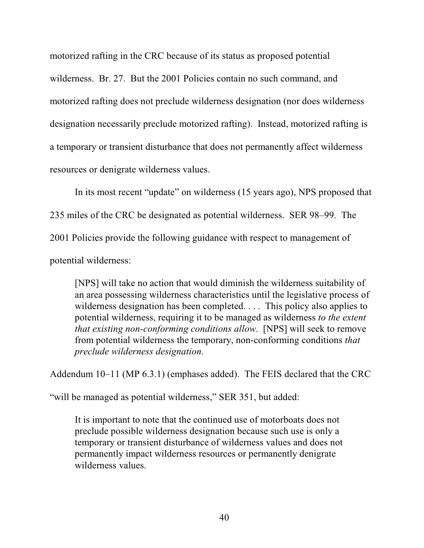motorized rafting in the CRC because of its status as proposed potential wilderness. Br. 27. But the 2001 Policies contain no such command, and motorized rafting does not preclude wilderness designation (nor does wilderness designation necessarily preclude motorized rafting). Instead, motorized rafting is a temporary or transient disturbance that does not permanently affect wilderness resources or denigrate wilderness values.

In its most recent "update" on wilderness (15 years ago), NPS proposed that 235 miles of the CRC be designated as potential wilderness. SER 98–99. The 2001 Policies provide the following guidance with respect to management of potential wilderness:

[NPS] will take no action that would diminish the wilderness suitability of an area possessing wilderness characteristics until the legislative process of wilderness designation has been completed. . . . This policy also applies to potential wilderness, requiring it to be managed as wilderness *to the extent that existing non-conforming conditions allow*. [NPS] will seek to remove from potential wilderness the temporary, non-conforming conditions *that preclude wilderness designation*.

Addendum 10–11 (MP 6.3.1) (emphases added). The FEIS declared that the CRC

"will be managed as potential wilderness," SER 351, but added:

It is important to note that the continued use of motorboats does not preclude possible wilderness designation because such use is only a temporary or transient disturbance of wilderness values and does not permanently impact wilderness resources or permanently denigrate wilderness values.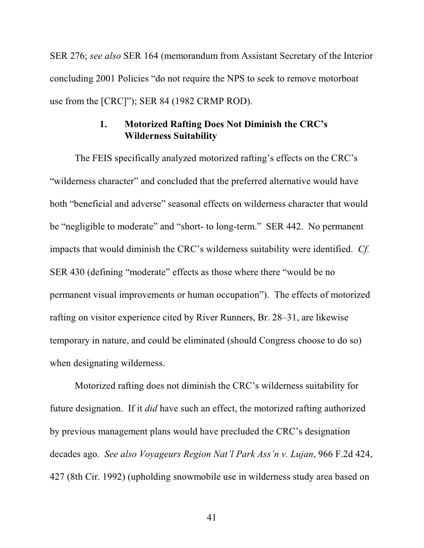SER 276; *see also* SER 164 (memorandum from Assistant Secretary of the Interior concluding 2001 Policies "do not require the NPS to seek to remove motorboat use from the [CRC]"); SER 84 (1982 CRMP ROD).

## **1. Motorized Rafting Does Not Diminish the CRC's Wilderness Suitability**

The FEIS specifically analyzed motorized rafting's effects on the CRC's "wilderness character" and concluded that the preferred alternative would have both "beneficial and adverse" seasonal effects on wilderness character that would be "negligible to moderate" and "short- to long-term." SER 442. No permanent impacts that would diminish the CRC's wilderness suitability were identified. *Cf.* SER 430 (defining "moderate" effects as those where there "would be no permanent visual improvements or human occupation"). The effects of motorized rafting on visitor experience cited by River Runners, Br. 28–31, are likewise temporary in nature, and could be eliminated (should Congress choose to do so) when designating wilderness.

Motorized rafting does not diminish the CRC's wilderness suitability for future designation. If it *did* have such an effect, the motorized rafting authorized by previous management plans would have precluded the CRC's designation decades ago. *See also Voyageurs Region Nat'l Park Ass'n v. Lujan*, 966 F.2d 424, 427 (8th Cir. 1992) (upholding snowmobile use in wilderness study area based on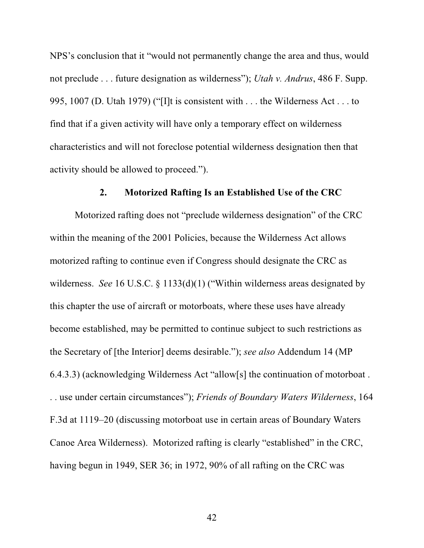NPS's conclusion that it "would not permanently change the area and thus, would not preclude . . . future designation as wilderness"); *Utah v. Andrus*, 486 F. Supp. 995, 1007 (D. Utah 1979) ("[I]t is consistent with . . . the Wilderness Act . . . to find that if a given activity will have only a temporary effect on wilderness characteristics and will not foreclose potential wilderness designation then that activity should be allowed to proceed.").

#### **2. Motorized Rafting Is an Established Use of the CRC**

Motorized rafting does not "preclude wilderness designation" of the CRC within the meaning of the 2001 Policies, because the Wilderness Act allows motorized rafting to continue even if Congress should designate the CRC as wilderness. *See* 16 U.S.C. § 1133(d)(1) ("Within wilderness areas designated by this chapter the use of aircraft or motorboats, where these uses have already become established, may be permitted to continue subject to such restrictions as the Secretary of [the Interior] deems desirable."); *see also* Addendum 14 (MP 6.4.3.3) (acknowledging Wilderness Act "allow[s] the continuation of motorboat . . . use under certain circumstances"); *Friends of Boundary Waters Wilderness*, 164 F.3d at 1119–20 (discussing motorboat use in certain areas of Boundary Waters Canoe Area Wilderness). Motorized rafting is clearly "established" in the CRC, having begun in 1949, SER 36; in 1972, 90% of all rafting on the CRC was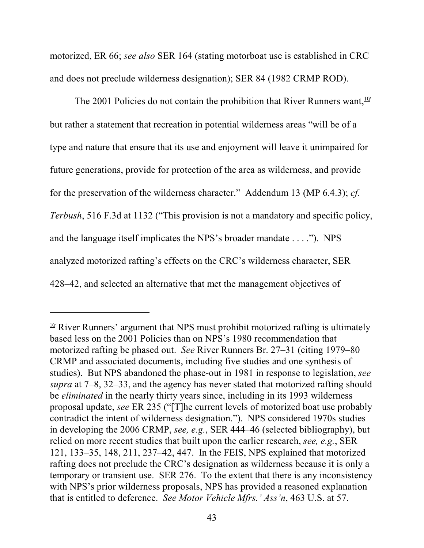motorized, ER 66; *see also* SER 164 (stating motorboat use is established in CRC and does not preclude wilderness designation); SER 84 (1982 CRMP ROD).

The 2001 Policies do not contain the prohibition that River Runners want,  $\frac{10}{4}$ but rather a statement that recreation in potential wilderness areas "will be of a type and nature that ensure that its use and enjoyment will leave it unimpaired for future generations, provide for protection of the area as wilderness, and provide for the preservation of the wilderness character." Addendum 13 (MP 6.4.3); *cf. Terbush*, 516 F.3d at 1132 ("This provision is not a mandatory and specific policy, and the language itself implicates the NPS's broader mandate . . . ."). NPS analyzed motorized rafting's effects on the CRC's wilderness character, SER 428–42, and selected an alternative that met the management objectives of

<sup>&</sup>lt;sup>10</sup> River Runners' argument that NPS must prohibit motorized rafting is ultimately based less on the 2001 Policies than on NPS's 1980 recommendation that motorized rafting be phased out. *See* River Runners Br. 27–31 (citing 1979–80 CRMP and associated documents, including five studies and one synthesis of studies). But NPS abandoned the phase-out in 1981 in response to legislation, *see supra* at 7–8, 32–33, and the agency has never stated that motorized rafting should be *eliminated* in the nearly thirty years since, including in its 1993 wilderness proposal update, *see* ER 235 ("[T]he current levels of motorized boat use probably contradict the intent of wilderness designation."). NPS considered 1970s studies in developing the 2006 CRMP, *see, e.g.*, SER 444–46 (selected bibliography), but relied on more recent studies that built upon the earlier research, *see, e.g.*, SER 121, 133–35, 148, 211, 237–42, 447. In the FEIS, NPS explained that motorized rafting does not preclude the CRC's designation as wilderness because it is only a temporary or transient use. SER 276. To the extent that there is any inconsistency with NPS's prior wilderness proposals, NPS has provided a reasoned explanation that is entitled to deference. *See Motor Vehicle Mfrs.' Ass'n*, 463 U.S. at 57.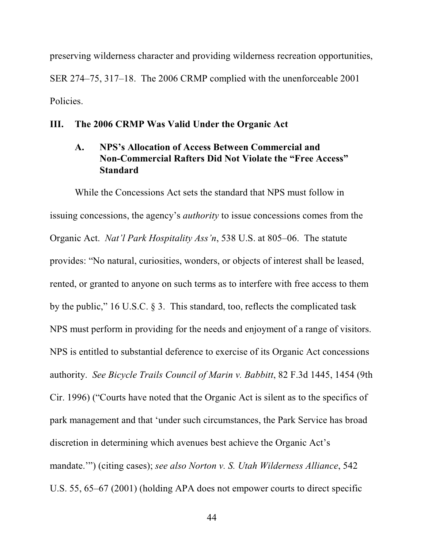preserving wilderness character and providing wilderness recreation opportunities, SER 274–75, 317–18. The 2006 CRMP complied with the unenforceable 2001 Policies.

#### **III. The 2006 CRMP Was Valid Under the Organic Act**

## **A. NPS's Allocation of Access Between Commercial and Non-Commercial Rafters Did Not Violate the "Free Access" Standard**

While the Concessions Act sets the standard that NPS must follow in issuing concessions, the agency's *authority* to issue concessions comes from the Organic Act. *Nat'l Park Hospitality Ass'n*, 538 U.S. at 805–06. The statute provides: "No natural, curiosities, wonders, or objects of interest shall be leased, rented, or granted to anyone on such terms as to interfere with free access to them by the public," 16 U.S.C. § 3. This standard, too, reflects the complicated task NPS must perform in providing for the needs and enjoyment of a range of visitors. NPS is entitled to substantial deference to exercise of its Organic Act concessions authority. *See Bicycle Trails Council of Marin v. Babbitt*, 82 F.3d 1445, 1454 (9th Cir. 1996) ("Courts have noted that the Organic Act is silent as to the specifics of park management and that 'under such circumstances, the Park Service has broad discretion in determining which avenues best achieve the Organic Act's mandate.'") (citing cases); *see also Norton v. S. Utah Wilderness Alliance*, 542 U.S. 55, 65–67 (2001) (holding APA does not empower courts to direct specific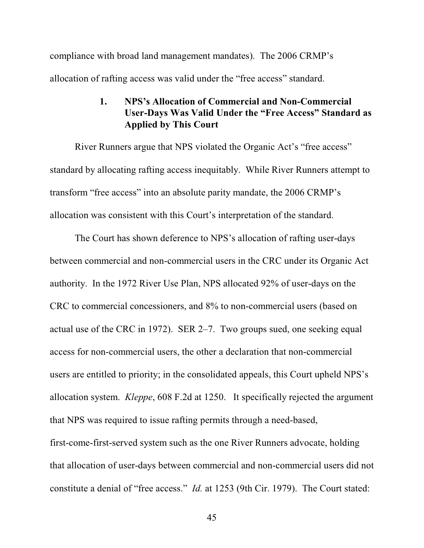compliance with broad land management mandates). The 2006 CRMP's allocation of rafting access was valid under the "free access" standard.

# **1. NPS's Allocation of Commercial and Non-Commercial User-Days Was Valid Under the "Free Access" Standard as Applied by This Court**

River Runners argue that NPS violated the Organic Act's "free access" standard by allocating rafting access inequitably. While River Runners attempt to transform "free access" into an absolute parity mandate, the 2006 CRMP's allocation was consistent with this Court's interpretation of the standard.

The Court has shown deference to NPS's allocation of rafting user-days between commercial and non-commercial users in the CRC under its Organic Act authority. In the 1972 River Use Plan, NPS allocated 92% of user-days on the CRC to commercial concessioners, and 8% to non-commercial users (based on actual use of the CRC in 1972). SER 2–7. Two groups sued, one seeking equal access for non-commercial users, the other a declaration that non-commercial users are entitled to priority; in the consolidated appeals, this Court upheld NPS's allocation system. *Kleppe*, 608 F.2d at 1250. It specifically rejected the argument that NPS was required to issue rafting permits through a need-based, first-come-first-served system such as the one River Runners advocate, holding that allocation of user-days between commercial and non-commercial users did not constitute a denial of "free access." *Id.* at 1253 (9th Cir. 1979). The Court stated: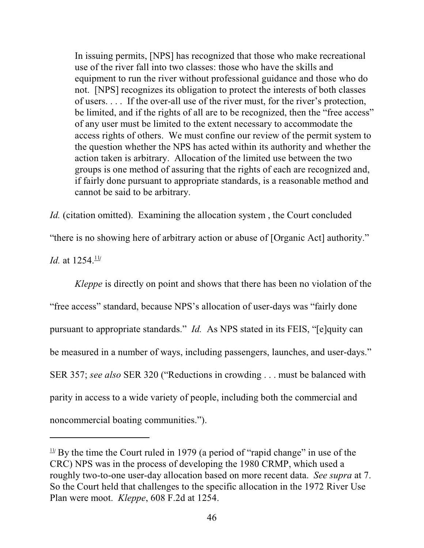In issuing permits, [NPS] has recognized that those who make recreational use of the river fall into two classes: those who have the skills and equipment to run the river without professional guidance and those who do not. [NPS] recognizes its obligation to protect the interests of both classes of users. . . . If the over-all use of the river must, for the river's protection, be limited, and if the rights of all are to be recognized, then the "free access" of any user must be limited to the extent necessary to accommodate the access rights of others. We must confine our review of the permit system to the question whether the NPS has acted within its authority and whether the action taken is arbitrary. Allocation of the limited use between the two groups is one method of assuring that the rights of each are recognized and, if fairly done pursuant to appropriate standards, is a reasonable method and cannot be said to be arbitrary.

*Id.* (citation omitted). Examining the allocation system, the Court concluded

"there is no showing here of arbitrary action or abuse of [Organic Act] authority."

*Id.* at  $1254.11/1$ 

*Kleppe* is directly on point and shows that there has been no violation of the "free access" standard, because NPS's allocation of user-days was "fairly done pursuant to appropriate standards." *Id.* As NPS stated in its FEIS, "[e]quity can be measured in a number of ways, including passengers, launches, and user-days." SER 357; *see also* SER 320 ("Reductions in crowding . . . must be balanced with parity in access to a wide variety of people, including both the commercial and noncommercial boating communities.").

 $\frac{11}{11}$  By the time the Court ruled in 1979 (a period of "rapid change" in use of the CRC) NPS was in the process of developing the 1980 CRMP, which used a roughly two-to-one user-day allocation based on more recent data. *See supra* at 7. So the Court held that challenges to the specific allocation in the 1972 River Use Plan were moot. *Kleppe*, 608 F.2d at 1254.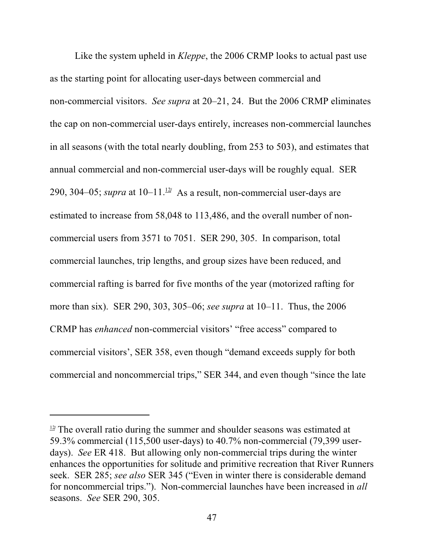Like the system upheld in *Kleppe*, the 2006 CRMP looks to actual past use as the starting point for allocating user-days between commercial and non-commercial visitors. *See supra* at 20–21, 24. But the 2006 CRMP eliminates the cap on non-commercial user-days entirely, increases non-commercial launches in all seasons (with the total nearly doubling, from 253 to 503), and estimates that annual commercial and non-commercial user-days will be roughly equal. SER 290, 304–05; *supra* at  $10-11<sup>12</sup>$  As a result, non-commercial user-days are estimated to increase from 58,048 to 113,486, and the overall number of noncommercial users from 3571 to 7051. SER 290, 305. In comparison, total commercial launches, trip lengths, and group sizes have been reduced, and commercial rafting is barred for five months of the year (motorized rafting for more than six). SER 290, 303, 305–06; *see supra* at 10–11. Thus, the 2006 CRMP has *enhanced* non-commercial visitors' "free access" compared to commercial visitors', SER 358, even though "demand exceeds supply for both commercial and noncommercial trips," SER 344, and even though "since the late

 $\frac{12}{2}$  The overall ratio during the summer and shoulder seasons was estimated at 59.3% commercial (115,500 user-days) to 40.7% non-commercial (79,399 userdays). *See* ER 418. But allowing only non-commercial trips during the winter enhances the opportunities for solitude and primitive recreation that River Runners seek. SER 285; *see also* SER 345 ("Even in winter there is considerable demand for noncommercial trips."). Non-commercial launches have been increased in *all* seasons. *See* SER 290, 305.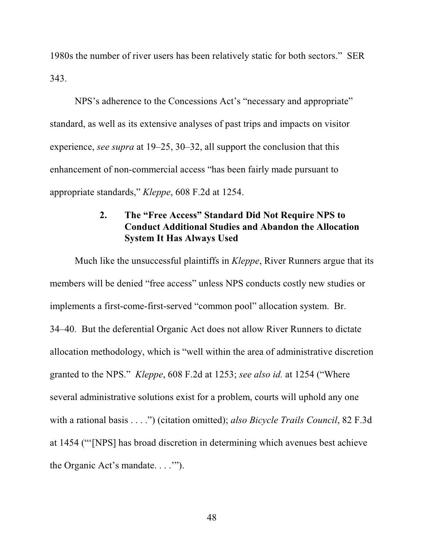1980s the number of river users has been relatively static for both sectors." SER 343.

NPS's adherence to the Concessions Act's "necessary and appropriate" standard, as well as its extensive analyses of past trips and impacts on visitor experience, *see supra* at 19–25, 30–32, all support the conclusion that this enhancement of non-commercial access "has been fairly made pursuant to appropriate standards," *Kleppe*, 608 F.2d at 1254.

# **2. The "Free Access" Standard Did Not Require NPS to Conduct Additional Studies and Abandon the Allocation System It Has Always Used**

Much like the unsuccessful plaintiffs in *Kleppe*, River Runners argue that its members will be denied "free access" unless NPS conducts costly new studies or implements a first-come-first-served "common pool" allocation system. Br. 34–40. But the deferential Organic Act does not allow River Runners to dictate allocation methodology, which is "well within the area of administrative discretion granted to the NPS." *Kleppe*, 608 F.2d at 1253; *see also id.* at 1254 ("Where several administrative solutions exist for a problem, courts will uphold any one with a rational basis . . . .") (citation omitted); *also Bicycle Trails Council*, 82 F.3d at 1454 ("'[NPS] has broad discretion in determining which avenues best achieve the Organic Act's mandate. . . .'").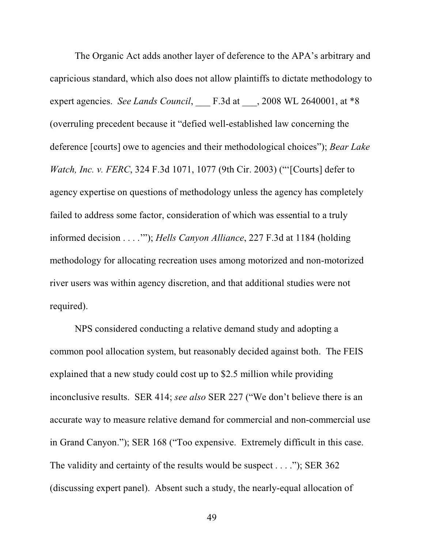The Organic Act adds another layer of deference to the APA's arbitrary and capricious standard, which also does not allow plaintiffs to dictate methodology to expert agencies. *See Lands Council*, \_\_\_ F.3d at \_\_\_, 2008 WL 2640001, at \*8 (overruling precedent because it "defied well-established law concerning the deference [courts] owe to agencies and their methodological choices"); *Bear Lake Watch, Inc. v. FERC*, 324 F.3d 1071, 1077 (9th Cir. 2003) ("'[Courts] defer to agency expertise on questions of methodology unless the agency has completely failed to address some factor, consideration of which was essential to a truly informed decision . . . .'"); *Hells Canyon Alliance*, 227 F.3d at 1184 (holding methodology for allocating recreation uses among motorized and non-motorized river users was within agency discretion, and that additional studies were not required).

NPS considered conducting a relative demand study and adopting a common pool allocation system, but reasonably decided against both. The FEIS explained that a new study could cost up to \$2.5 million while providing inconclusive results. SER 414; *see also* SER 227 ("We don't believe there is an accurate way to measure relative demand for commercial and non-commercial use in Grand Canyon."); SER 168 ("Too expensive. Extremely difficult in this case. The validity and certainty of the results would be suspect . . . ."); SER 362 (discussing expert panel). Absent such a study, the nearly-equal allocation of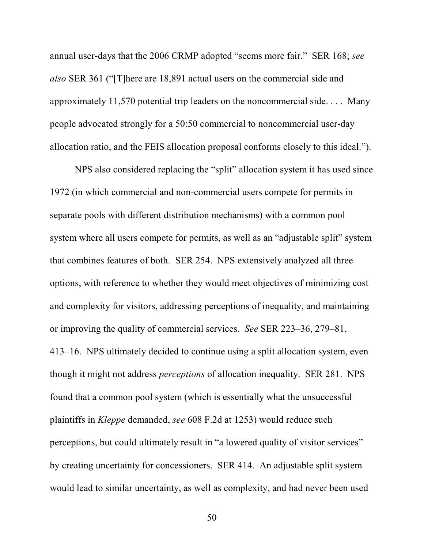annual user-days that the 2006 CRMP adopted "seems more fair." SER 168; *see also* SER 361 ("[T]here are 18,891 actual users on the commercial side and approximately 11,570 potential trip leaders on the noncommercial side. . . . Many people advocated strongly for a 50:50 commercial to noncommercial user-day allocation ratio, and the FEIS allocation proposal conforms closely to this ideal.").

NPS also considered replacing the "split" allocation system it has used since 1972 (in which commercial and non-commercial users compete for permits in separate pools with different distribution mechanisms) with a common pool system where all users compete for permits, as well as an "adjustable split" system that combines features of both. SER 254. NPS extensively analyzed all three options, with reference to whether they would meet objectives of minimizing cost and complexity for visitors, addressing perceptions of inequality, and maintaining or improving the quality of commercial services. *See* SER 223–36, 279–81, 413–16. NPS ultimately decided to continue using a split allocation system, even though it might not address *perceptions* of allocation inequality. SER 281. NPS found that a common pool system (which is essentially what the unsuccessful plaintiffs in *Kleppe* demanded, *see* 608 F.2d at 1253) would reduce such perceptions, but could ultimately result in "a lowered quality of visitor services" by creating uncertainty for concessioners. SER 414. An adjustable split system would lead to similar uncertainty, as well as complexity, and had never been used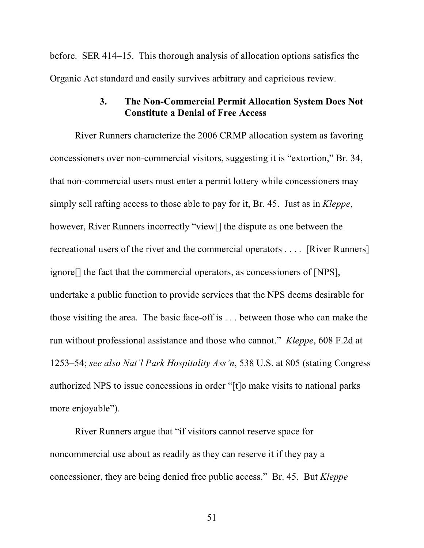before. SER 414–15. This thorough analysis of allocation options satisfies the Organic Act standard and easily survives arbitrary and capricious review.

#### **3. The Non-Commercial Permit Allocation System Does Not Constitute a Denial of Free Access**

River Runners characterize the 2006 CRMP allocation system as favoring concessioners over non-commercial visitors, suggesting it is "extortion," Br. 34, that non-commercial users must enter a permit lottery while concessioners may simply sell rafting access to those able to pay for it, Br. 45. Just as in *Kleppe*, however, River Runners incorrectly "view[] the dispute as one between the recreational users of the river and the commercial operators . . . . [River Runners] ignore[] the fact that the commercial operators, as concessioners of [NPS], undertake a public function to provide services that the NPS deems desirable for those visiting the area. The basic face-off is . . . between those who can make the run without professional assistance and those who cannot." *Kleppe*, 608 F.2d at 1253–54; *see also Nat'l Park Hospitality Ass'n*, 538 U.S. at 805 (stating Congress authorized NPS to issue concessions in order "[t]o make visits to national parks more enjoyable").

River Runners argue that "if visitors cannot reserve space for noncommercial use about as readily as they can reserve it if they pay a concessioner, they are being denied free public access." Br. 45. But *Kleppe*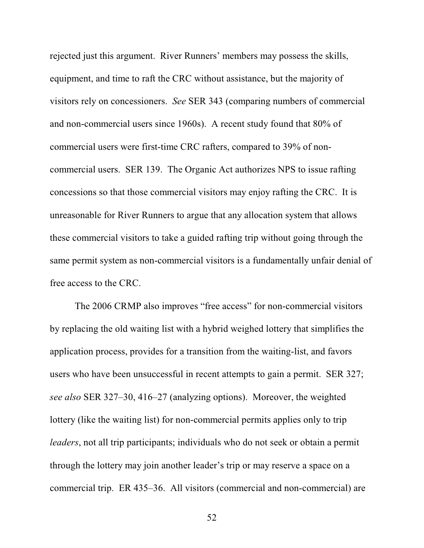rejected just this argument. River Runners' members may possess the skills, equipment, and time to raft the CRC without assistance, but the majority of visitors rely on concessioners. *See* SER 343 (comparing numbers of commercial and non-commercial users since 1960s). A recent study found that 80% of commercial users were first-time CRC rafters, compared to 39% of noncommercial users. SER 139. The Organic Act authorizes NPS to issue rafting concessions so that those commercial visitors may enjoy rafting the CRC. It is unreasonable for River Runners to argue that any allocation system that allows these commercial visitors to take a guided rafting trip without going through the same permit system as non-commercial visitors is a fundamentally unfair denial of free access to the CRC.

The 2006 CRMP also improves "free access" for non-commercial visitors by replacing the old waiting list with a hybrid weighed lottery that simplifies the application process, provides for a transition from the waiting-list, and favors users who have been unsuccessful in recent attempts to gain a permit. SER 327; *see also* SER 327–30, 416–27 (analyzing options). Moreover, the weighted lottery (like the waiting list) for non-commercial permits applies only to trip *leaders*, not all trip participants; individuals who do not seek or obtain a permit through the lottery may join another leader's trip or may reserve a space on a commercial trip. ER 435–36. All visitors (commercial and non-commercial) are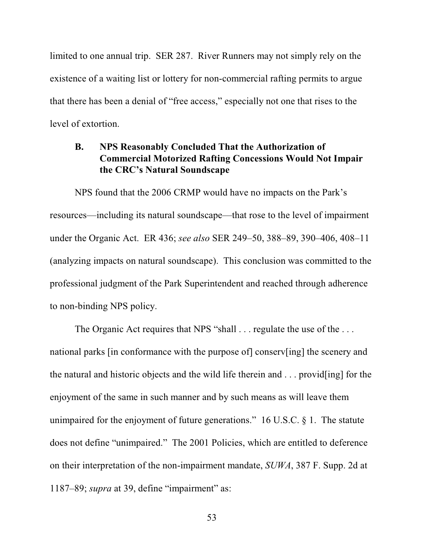limited to one annual trip. SER 287. River Runners may not simply rely on the existence of a waiting list or lottery for non-commercial rafting permits to argue that there has been a denial of "free access," especially not one that rises to the level of extortion.

## **B. NPS Reasonably Concluded That the Authorization of Commercial Motorized Rafting Concessions Would Not Impair the CRC's Natural Soundscape**

NPS found that the 2006 CRMP would have no impacts on the Park's resources—including its natural soundscape—that rose to the level of impairment under the Organic Act. ER 436; *see also* SER 249–50, 388–89, 390–406, 408–11 (analyzing impacts on natural soundscape). This conclusion was committed to the professional judgment of the Park Superintendent and reached through adherence to non-binding NPS policy.

The Organic Act requires that NPS "shall . . . regulate the use of the . . . national parks [in conformance with the purpose of] conserv[ing] the scenery and the natural and historic objects and the wild life therein and . . . provid[ing] for the enjoyment of the same in such manner and by such means as will leave them unimpaired for the enjoyment of future generations." 16 U.S.C. § 1. The statute does not define "unimpaired." The 2001 Policies, which are entitled to deference on their interpretation of the non-impairment mandate, *SUWA*, 387 F. Supp. 2d at 1187–89; *supra* at 39, define "impairment" as: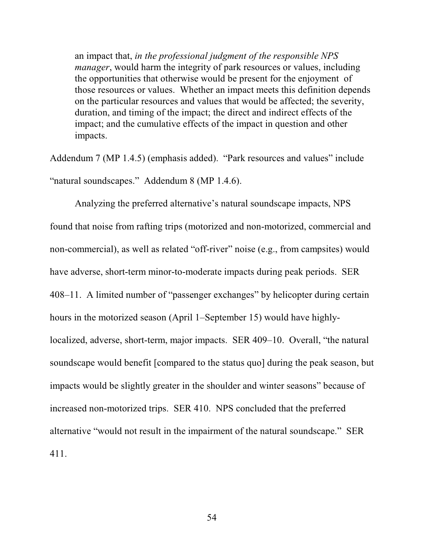an impact that, *in the professional judgment of the responsible NPS manager*, would harm the integrity of park resources or values, including the opportunities that otherwise would be present for the enjoyment of those resources or values. Whether an impact meets this definition depends on the particular resources and values that would be affected; the severity, duration, and timing of the impact; the direct and indirect effects of the impact; and the cumulative effects of the impact in question and other impacts.

Addendum 7 (MP 1.4.5) (emphasis added). "Park resources and values" include "natural soundscapes." Addendum 8 (MP 1.4.6).

Analyzing the preferred alternative's natural soundscape impacts, NPS found that noise from rafting trips (motorized and non-motorized, commercial and non-commercial), as well as related "off-river" noise (e.g., from campsites) would have adverse, short-term minor-to-moderate impacts during peak periods. SER 408–11. A limited number of "passenger exchanges" by helicopter during certain hours in the motorized season (April 1–September 15) would have highlylocalized, adverse, short-term, major impacts. SER 409–10. Overall, "the natural soundscape would benefit [compared to the status quo] during the peak season, but impacts would be slightly greater in the shoulder and winter seasons" because of increased non-motorized trips. SER 410. NPS concluded that the preferred alternative "would not result in the impairment of the natural soundscape." SER 411.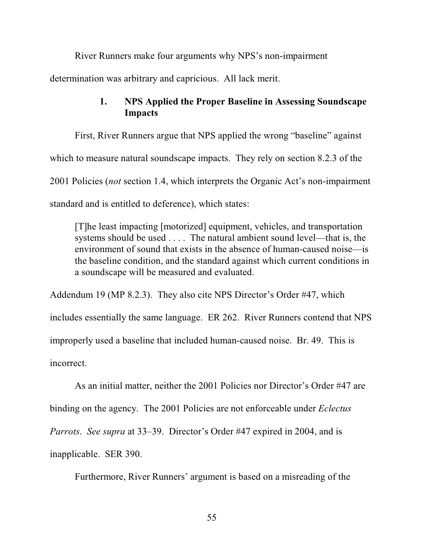River Runners make four arguments why NPS's non-impairment

determination was arbitrary and capricious. All lack merit.

## **1. NPS Applied the Proper Baseline in Assessing Soundscape Impacts**

First, River Runners argue that NPS applied the wrong "baseline" against which to measure natural soundscape impacts. They rely on section 8.2.3 of the 2001 Policies (*not* section 1.4, which interprets the Organic Act's non-impairment standard and is entitled to deference), which states:

[T]he least impacting [motorized] equipment, vehicles, and transportation systems should be used . . . . The natural ambient sound level—that is, the environment of sound that exists in the absence of human-caused noise—is the baseline condition, and the standard against which current conditions in a soundscape will be measured and evaluated.

Addendum 19 (MP 8.2.3). They also cite NPS Director's Order #47, which includes essentially the same language. ER 262. River Runners contend that NPS improperly used a baseline that included human-caused noise. Br. 49. This is incorrect.

As an initial matter, neither the 2001 Policies nor Director's Order #47 are binding on the agency. The 2001 Policies are not enforceable under *Eclectus Parrots*. *See supra* at 33–39. Director's Order #47 expired in 2004, and is inapplicable. SER 390.

Furthermore, River Runners' argument is based on a misreading of the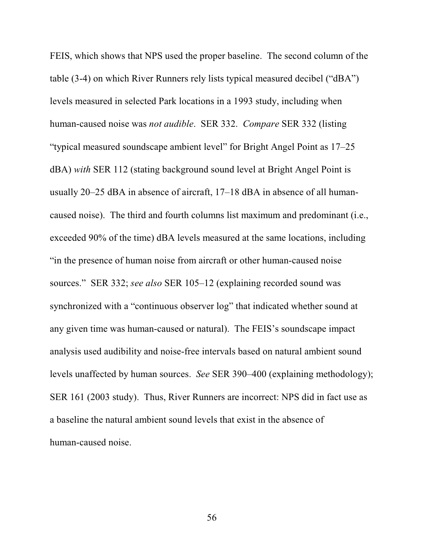FEIS, which shows that NPS used the proper baseline. The second column of the table (3-4) on which River Runners rely lists typical measured decibel ("dBA") levels measured in selected Park locations in a 1993 study, including when human-caused noise was *not audible*. SER 332. *Compare* SER 332 (listing "typical measured soundscape ambient level" for Bright Angel Point as 17–25 dBA) *with* SER 112 (stating background sound level at Bright Angel Point is usually 20–25 dBA in absence of aircraft, 17–18 dBA in absence of all humancaused noise). The third and fourth columns list maximum and predominant (i.e., exceeded 90% of the time) dBA levels measured at the same locations, including "in the presence of human noise from aircraft or other human-caused noise sources." SER 332; *see also* SER 105–12 (explaining recorded sound was synchronized with a "continuous observer log" that indicated whether sound at any given time was human-caused or natural). The FEIS's soundscape impact analysis used audibility and noise-free intervals based on natural ambient sound levels unaffected by human sources. *See* SER 390–400 (explaining methodology); SER 161 (2003 study). Thus, River Runners are incorrect: NPS did in fact use as a baseline the natural ambient sound levels that exist in the absence of human-caused noise.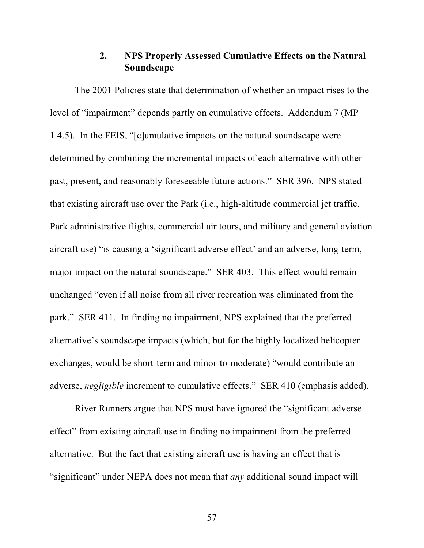## **2. NPS Properly Assessed Cumulative Effects on the Natural Soundscape**

The 2001 Policies state that determination of whether an impact rises to the level of "impairment" depends partly on cumulative effects. Addendum 7 (MP 1.4.5). In the FEIS, "[c]umulative impacts on the natural soundscape were determined by combining the incremental impacts of each alternative with other past, present, and reasonably foreseeable future actions." SER 396. NPS stated that existing aircraft use over the Park (i.e., high-altitude commercial jet traffic, Park administrative flights, commercial air tours, and military and general aviation aircraft use) "is causing a 'significant adverse effect' and an adverse, long-term, major impact on the natural soundscape." SER 403. This effect would remain unchanged "even if all noise from all river recreation was eliminated from the park." SER 411. In finding no impairment, NPS explained that the preferred alternative's soundscape impacts (which, but for the highly localized helicopter exchanges, would be short-term and minor-to-moderate) "would contribute an adverse, *negligible* increment to cumulative effects." SER 410 (emphasis added).

River Runners argue that NPS must have ignored the "significant adverse effect" from existing aircraft use in finding no impairment from the preferred alternative. But the fact that existing aircraft use is having an effect that is "significant" under NEPA does not mean that *any* additional sound impact will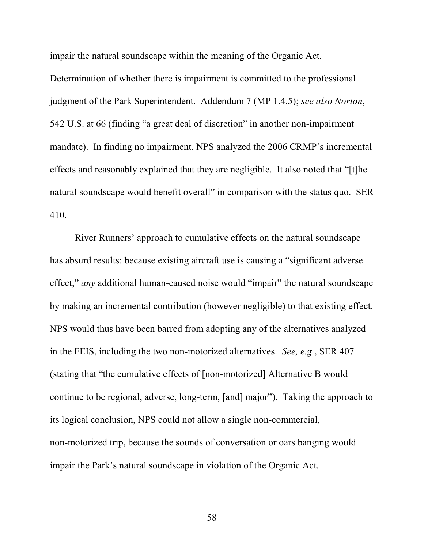impair the natural soundscape within the meaning of the Organic Act.

Determination of whether there is impairment is committed to the professional judgment of the Park Superintendent. Addendum 7 (MP 1.4.5); *see also Norton*, 542 U.S. at 66 (finding "a great deal of discretion" in another non-impairment mandate). In finding no impairment, NPS analyzed the 2006 CRMP's incremental effects and reasonably explained that they are negligible. It also noted that "[t]he natural soundscape would benefit overall" in comparison with the status quo. SER 410.

River Runners' approach to cumulative effects on the natural soundscape has absurd results: because existing aircraft use is causing a "significant adverse effect," *any* additional human-caused noise would "impair" the natural soundscape by making an incremental contribution (however negligible) to that existing effect. NPS would thus have been barred from adopting any of the alternatives analyzed in the FEIS, including the two non-motorized alternatives. *See, e.g.*, SER 407 (stating that "the cumulative effects of [non-motorized] Alternative B would continue to be regional, adverse, long-term, [and] major"). Taking the approach to its logical conclusion, NPS could not allow a single non-commercial, non-motorized trip, because the sounds of conversation or oars banging would impair the Park's natural soundscape in violation of the Organic Act.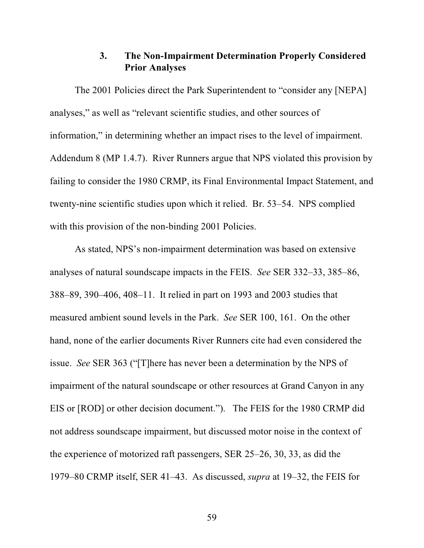## **3. The Non-Impairment Determination Properly Considered Prior Analyses**

The 2001 Policies direct the Park Superintendent to "consider any [NEPA] analyses," as well as "relevant scientific studies, and other sources of information," in determining whether an impact rises to the level of impairment. Addendum 8 (MP 1.4.7). River Runners argue that NPS violated this provision by failing to consider the 1980 CRMP, its Final Environmental Impact Statement, and twenty-nine scientific studies upon which it relied. Br. 53–54. NPS complied with this provision of the non-binding 2001 Policies.

As stated, NPS's non-impairment determination was based on extensive analyses of natural soundscape impacts in the FEIS. *See* SER 332–33, 385–86, 388–89, 390–406, 408–11. It relied in part on 1993 and 2003 studies that measured ambient sound levels in the Park. *See* SER 100, 161. On the other hand, none of the earlier documents River Runners cite had even considered the issue. *See* SER 363 ("[T]here has never been a determination by the NPS of impairment of the natural soundscape or other resources at Grand Canyon in any EIS or [ROD] or other decision document."). The FEIS for the 1980 CRMP did not address soundscape impairment, but discussed motor noise in the context of the experience of motorized raft passengers, SER 25–26, 30, 33, as did the 1979–80 CRMP itself, SER 41–43. As discussed, *supra* at 19–32, the FEIS for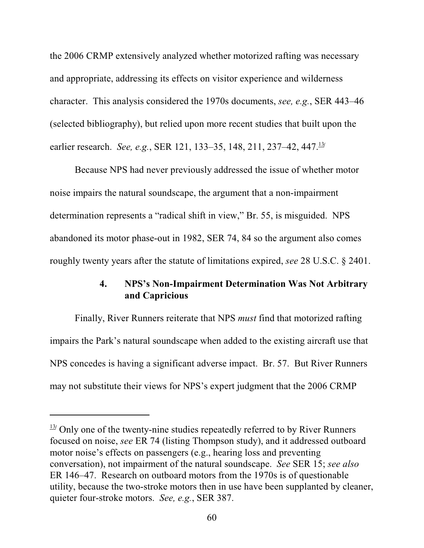the 2006 CRMP extensively analyzed whether motorized rafting was necessary and appropriate, addressing its effects on visitor experience and wilderness character. This analysis considered the 1970s documents, *see, e.g.*, SER 443–46 (selected bibliography), but relied upon more recent studies that built upon the earlier research. *See, e.g.*, SER 121, 133–35, 148, 211, 237–42, 447.<sup>13/</sup>

Because NPS had never previously addressed the issue of whether motor noise impairs the natural soundscape, the argument that a non-impairment determination represents a "radical shift in view," Br. 55, is misguided. NPS abandoned its motor phase-out in 1982, SER 74, 84 so the argument also comes roughly twenty years after the statute of limitations expired, *see* 28 U.S.C. § 2401.

## **4. NPS's Non-Impairment Determination Was Not Arbitrary and Capricious**

Finally, River Runners reiterate that NPS *must* find that motorized rafting impairs the Park's natural soundscape when added to the existing aircraft use that NPS concedes is having a significant adverse impact. Br. 57. But River Runners may not substitute their views for NPS's expert judgment that the 2006 CRMP

 $\frac{13}{7}$  Only one of the twenty-nine studies repeatedly referred to by River Runners focused on noise, *see* ER 74 (listing Thompson study), and it addressed outboard motor noise's effects on passengers (e.g., hearing loss and preventing conversation), not impairment of the natural soundscape. *See* SER 15; *see also* ER 146–47. Research on outboard motors from the 1970s is of questionable utility, because the two-stroke motors then in use have been supplanted by cleaner, quieter four-stroke motors. *See, e.g.*, SER 387.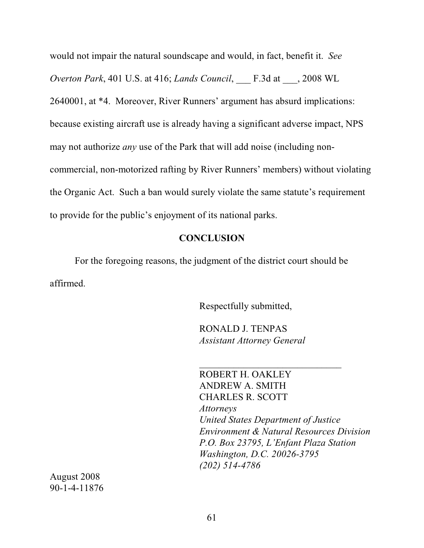would not impair the natural soundscape and would, in fact, benefit it. *See Overton Park*, 401 U.S. at 416; *Lands Council*, \_\_\_ F.3d at \_\_\_, 2008 WL 2640001, at \*4. Moreover, River Runners' argument has absurd implications: because existing aircraft use is already having a significant adverse impact, NPS may not authorize *any* use of the Park that will add noise (including noncommercial, non-motorized rafting by River Runners' members) without violating the Organic Act. Such a ban would surely violate the same statute's requirement to provide for the public's enjoyment of its national parks.

#### **CONCLUSION**

For the foregoing reasons, the judgment of the district court should be affirmed.

Respectfully submitted,

RONALD J. TENPAS *Assistant Attorney General*

 $\overline{\phantom{a}}$  , where  $\overline{\phantom{a}}$  , where  $\overline{\phantom{a}}$  , where  $\overline{\phantom{a}}$ 

ROBERT H. OAKLEY ANDREW A. SMITH CHARLES R. SCOTT *Attorneys United States Department of Justice Environment & Natural Resources Division P.O. Box 23795, L'Enfant Plaza Station Washington, D.C. 20026-3795 (202) 514-4786*

August 2008 90-1-4-11876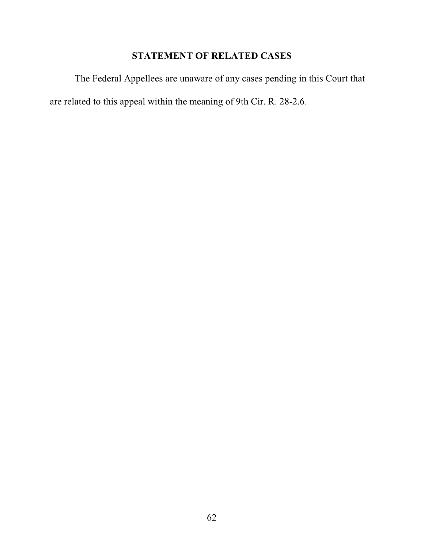# **STATEMENT OF RELATED CASES**

The Federal Appellees are unaware of any cases pending in this Court that are related to this appeal within the meaning of 9th Cir. R. 28-2.6.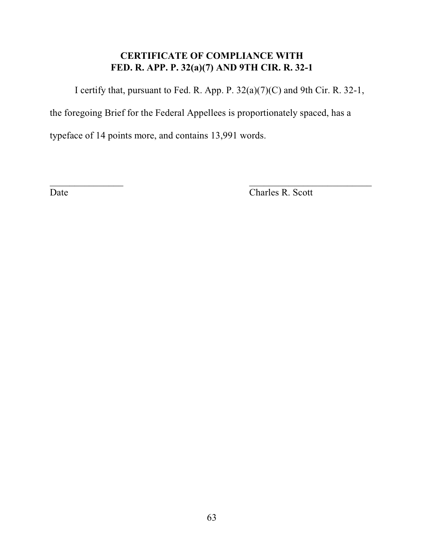# **CERTIFICATE OF COMPLIANCE WITH FED. R. APP. P. 32(a)(7) AND 9TH CIR. R. 32-1**

I certify that, pursuant to Fed. R. App. P. 32(a)(7)(C) and 9th Cir. R. 32-1,

the foregoing Brief for the Federal Appellees is proportionately spaced, has a

 $\mathcal{L}_\text{max}$  , and the contract of the contract of the contract of the contract of the contract of the contract of the contract of the contract of the contract of the contract of the contract of the contract of the contr

typeface of 14 points more, and contains 13,991 words.

Date Charles R. Scott